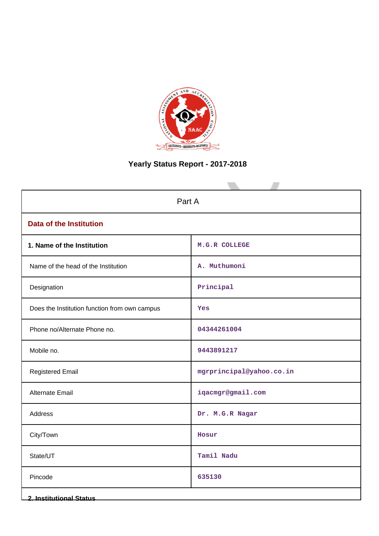

# **Yearly Status Report - 2017-2018**

| Part A                                        |                          |  |  |  |  |  |
|-----------------------------------------------|--------------------------|--|--|--|--|--|
|                                               |                          |  |  |  |  |  |
| <b>Data of the Institution</b>                |                          |  |  |  |  |  |
| 1. Name of the Institution                    | M.G.R COLLEGE            |  |  |  |  |  |
| Name of the head of the Institution           | A. Muthumoni             |  |  |  |  |  |
| Designation                                   | Principal                |  |  |  |  |  |
| Does the Institution function from own campus | Yes                      |  |  |  |  |  |
| Phone no/Alternate Phone no.                  | 04344261004              |  |  |  |  |  |
| Mobile no.                                    | 9443891217               |  |  |  |  |  |
| <b>Registered Email</b>                       | mgrprincipal@yahoo.co.in |  |  |  |  |  |
| <b>Alternate Email</b>                        | iqacmgr@gmail.com        |  |  |  |  |  |
| Address                                       | Dr. M.G.R Nagar          |  |  |  |  |  |
| City/Town                                     | Hosur                    |  |  |  |  |  |
| State/UT                                      | Tamil Nadu               |  |  |  |  |  |
| Pincode                                       | 635130                   |  |  |  |  |  |
| <b>2. Institutional Status</b>                |                          |  |  |  |  |  |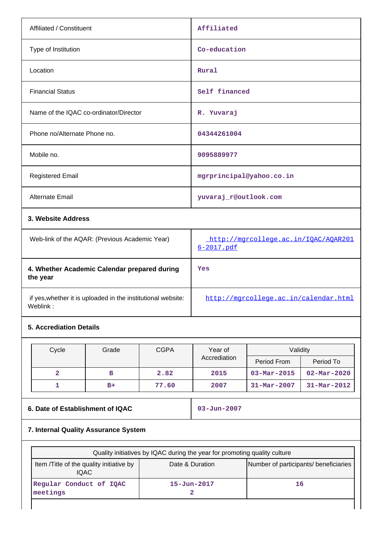| Affiliated / Constituent                       | Affiliated                           |
|------------------------------------------------|--------------------------------------|
| Type of Institution                            | Co-education                         |
| Location                                       | Rural                                |
| <b>Financial Status</b>                        | Self financed                        |
| Name of the IQAC co-ordinator/Director         | R. Yuvaraj                           |
| Phone no/Alternate Phone no.                   | 04344261004                          |
| Mobile no.                                     | 9095889977                           |
| <b>Registered Email</b>                        | mgrprincipal@yahoo.co.in             |
| <b>Alternate Email</b>                         | yuvaraj_r@outlook.com                |
| 3. Website Address                             |                                      |
| Web-link of the AQAR: (Previous Academic Year) | http://mgrcollege.ac.in/IOAC/AOAR201 |

| Web-link of the AQAR: (Previous Academic Year)                           | http://mgrcollege.ac.in/IOAC/AOAR201<br>$6 - 2017$ . $pdf$ |
|--------------------------------------------------------------------------|------------------------------------------------------------|
| 4. Whether Academic Calendar prepared during<br>the year                 | Yes                                                        |
| if yes, whether it is uploaded in the institutional website:<br>Weblink: | http://mgrcollege.ac.in/calendar.html                      |

# **5. Accrediation Details**

| Cycle | Grade | <b>CGPA</b> | Year of      | Validity                 |                          |
|-------|-------|-------------|--------------|--------------------------|--------------------------|
|       |       |             | Accrediation | Period From              | Period To                |
|       | в     | 2.82        | 2015         | $03 - \text{Mar} - 2015$ | $02 - \text{Mar} - 2020$ |
|       | $B+$  | 77.60       | 2007         | $31 - \text{Mar} - 2007$ | $31 - Mar - 2012$        |

# **6. Date of Establishment of IQAC** 03-Jun-2007

# **7. Internal Quality Assurance System**

| Quality initiatives by IQAC during the year for promoting quality culture |                                       |    |  |  |  |  |  |
|---------------------------------------------------------------------------|---------------------------------------|----|--|--|--|--|--|
| Item /Title of the quality initiative by<br><b>IQAC</b>                   | Number of participants/ beneficiaries |    |  |  |  |  |  |
| Regular Conduct of IQAC<br>meetings                                       | $15 - Jun - 2017$                     | 16 |  |  |  |  |  |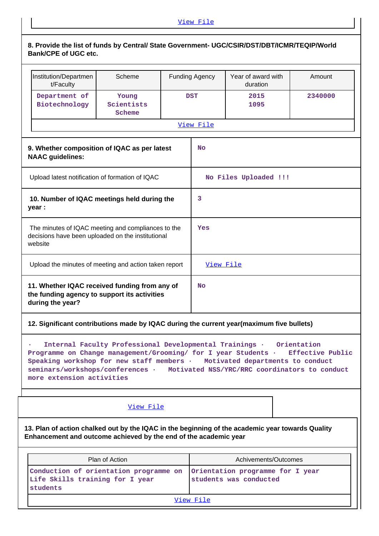## **8. Provide the list of funds by Central/ State Government- UGC/CSIR/DST/DBT/ICMR/TEQIP/World Bank/CPE of UGC etc.**

| Institution/Departmen<br>t/Faculty                                                                                                                                   | Scheme                                                                                                                                                                                                                                                                                                                                                    |  | <b>Funding Agency</b>                                      | Year of award with<br>duration |  | Amount  |  |  |
|----------------------------------------------------------------------------------------------------------------------------------------------------------------------|-----------------------------------------------------------------------------------------------------------------------------------------------------------------------------------------------------------------------------------------------------------------------------------------------------------------------------------------------------------|--|------------------------------------------------------------|--------------------------------|--|---------|--|--|
| Department of<br>Biotechnology                                                                                                                                       | Young<br>Scientists<br>Scheme                                                                                                                                                                                                                                                                                                                             |  | <b>DST</b>                                                 | 2015<br>1095                   |  | 2340000 |  |  |
|                                                                                                                                                                      |                                                                                                                                                                                                                                                                                                                                                           |  | View File                                                  |                                |  |         |  |  |
| 9. Whether composition of IQAC as per latest<br><b>NAAC</b> guidelines:                                                                                              |                                                                                                                                                                                                                                                                                                                                                           |  | <b>No</b>                                                  |                                |  |         |  |  |
| Upload latest notification of formation of IQAC                                                                                                                      |                                                                                                                                                                                                                                                                                                                                                           |  |                                                            | No Files Uploaded !!!          |  |         |  |  |
| 10. Number of IQAC meetings held during the<br>year :                                                                                                                |                                                                                                                                                                                                                                                                                                                                                           |  | 3                                                          |                                |  |         |  |  |
| The minutes of IQAC meeting and compliances to the<br>decisions have been uploaded on the institutional<br>website                                                   |                                                                                                                                                                                                                                                                                                                                                           |  | Yes                                                        |                                |  |         |  |  |
| Upload the minutes of meeting and action taken report                                                                                                                |                                                                                                                                                                                                                                                                                                                                                           |  | View File                                                  |                                |  |         |  |  |
| 11. Whether IQAC received funding from any of<br>the funding agency to support its activities<br>during the year?                                                    |                                                                                                                                                                                                                                                                                                                                                           |  | No                                                         |                                |  |         |  |  |
| 12. Significant contributions made by IQAC during the current year(maximum five bullets)                                                                             |                                                                                                                                                                                                                                                                                                                                                           |  |                                                            |                                |  |         |  |  |
|                                                                                                                                                                      | Internal Faculty Professional Developmental Trainings .<br>Orientation<br>Programme on Change management/Grooming/ for I year Students .<br>Effective Public<br>Speaking workshop for new staff members · Motivated departments to conduct<br>seminars/workshops/conferences · Motivated NSS/YRC/RRC coordinators to conduct<br>more extension activities |  |                                                            |                                |  |         |  |  |
|                                                                                                                                                                      | View File                                                                                                                                                                                                                                                                                                                                                 |  |                                                            |                                |  |         |  |  |
| 13. Plan of action chalked out by the IQAC in the beginning of the academic year towards Quality<br>Enhancement and outcome achieved by the end of the academic year |                                                                                                                                                                                                                                                                                                                                                           |  |                                                            |                                |  |         |  |  |
|                                                                                                                                                                      | Plan of Action                                                                                                                                                                                                                                                                                                                                            |  |                                                            | Achivements/Outcomes           |  |         |  |  |
| Conduction of orientation programme on<br>Life Skills training for I year<br>students                                                                                |                                                                                                                                                                                                                                                                                                                                                           |  | Orientation programme for I year<br>students was conducted |                                |  |         |  |  |

[View File](https://assessmentonline.naac.gov.in/public/Postacc/Quality/17567_Quality.xlsx)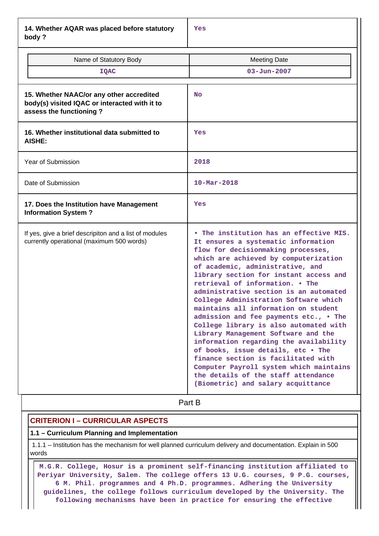**14. Whether AQAR was placed before statutory body ?**

| Name of Statutory Body<br><b>IQAC</b>                                                                                | <b>Meeting Date</b><br>$03 - Jun - 2007$                                                                                                                                                                                                                                                                                                                                                                                                                                                                                                                                                                                                                                                                                                                                            |
|----------------------------------------------------------------------------------------------------------------------|-------------------------------------------------------------------------------------------------------------------------------------------------------------------------------------------------------------------------------------------------------------------------------------------------------------------------------------------------------------------------------------------------------------------------------------------------------------------------------------------------------------------------------------------------------------------------------------------------------------------------------------------------------------------------------------------------------------------------------------------------------------------------------------|
| 15. Whether NAAC/or any other accredited<br>body(s) visited IQAC or interacted with it to<br>assess the functioning? | <b>No</b>                                                                                                                                                                                                                                                                                                                                                                                                                                                                                                                                                                                                                                                                                                                                                                           |
| 16. Whether institutional data submitted to<br><b>AISHE:</b>                                                         | Yes                                                                                                                                                                                                                                                                                                                                                                                                                                                                                                                                                                                                                                                                                                                                                                                 |
| Year of Submission                                                                                                   | 2018                                                                                                                                                                                                                                                                                                                                                                                                                                                                                                                                                                                                                                                                                                                                                                                |
| Date of Submission                                                                                                   | $10 - \text{Mar} - 2018$                                                                                                                                                                                                                                                                                                                                                                                                                                                                                                                                                                                                                                                                                                                                                            |
| 17. Does the Institution have Management<br><b>Information System?</b>                                               | Yes                                                                                                                                                                                                                                                                                                                                                                                                                                                                                                                                                                                                                                                                                                                                                                                 |
| If yes, give a brief descripiton and a list of modules<br>currently operational (maximum 500 words)                  | . The institution has an effective MIS.<br>It ensures a systematic information<br>flow for decisionmaking processes,<br>which are achieved by computerization<br>of academic, administrative, and<br>library section for instant access and<br>retrieval of information. . The<br>administrative section is an automated<br>College Administration Software which<br>maintains all information on student<br>admission and fee payments etc., . The<br>College library is also automated with<br>Library Management Software and the<br>information regarding the availability<br>of books, issue details, etc . The<br>finance section is facilitated with<br>Computer Payroll system which maintains<br>the details of the staff attendance<br>(Biometric) and salary acquittance |

**Part B** 

## **CRITERION I – CURRICULAR ASPECTS**

#### **1.1 – Curriculum Planning and Implementation**

 1.1.1 – Institution has the mechanism for well planned curriculum delivery and documentation. Explain in 500 words

 **M.G.R. College, Hosur is a prominent self-financing institution affiliated to Periyar University, Salem. The college offers 13 U.G. courses, 9 P.G. courses, 6 M. Phil. programmes and 4 Ph.D. programmes. Adhering the University guidelines, the college follows curriculum developed by the University. The following mechanisms have been in practice for ensuring the effective**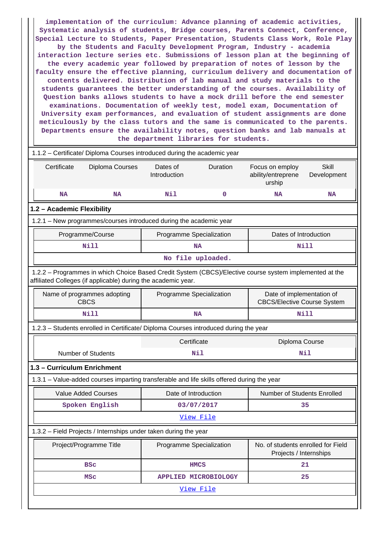**implementation of the curriculum: Advance planning of academic activities, Systematic analysis of students, Bridge courses, Parents Connect, Conference, Special Lecture to Students, Paper Presentation, Students Class Work, Role Play by the Students and Faculty Development Program, Industry - academia interaction lecture series etc. Submissions of lesson plan at the beginning of the every academic year followed by preparation of notes of lesson by the faculty ensure the effective planning, curriculum delivery and documentation of contents delivered. Distribution of lab manual and study materials to the students guarantees the better understanding of the courses. Availability of Question banks allows students to have a mock drill before the end semester examinations. Documentation of weekly test, model exam, Documentation of University exam performances, and evaluation of student assignments are done meticulously by the class tutors and the same is communicated to the parents. Departments ensure the availability notes, question banks and lab manuals at the department libraries for students.**

|                                  | 1.1.2 - Certificate/ Diploma Courses introduced during the academic year |                                                                                                                                                                          |                          |                             |                                                                 |                             |  |  |  |  |
|----------------------------------|--------------------------------------------------------------------------|--------------------------------------------------------------------------------------------------------------------------------------------------------------------------|--------------------------|-----------------------------|-----------------------------------------------------------------|-----------------------------|--|--|--|--|
|                                  | Certificate<br>Diploma Courses                                           |                                                                                                                                                                          | Dates of<br>Introduction | Duration                    | Focus on employ<br>ability/entreprene<br>urship                 | <b>Skill</b><br>Development |  |  |  |  |
|                                  | <b>NA</b>                                                                | <b>NA</b>                                                                                                                                                                | Nil                      | 0                           | <b>NA</b>                                                       | <b>NA</b>                   |  |  |  |  |
|                                  | 1.2 - Academic Flexibility                                               |                                                                                                                                                                          |                          |                             |                                                                 |                             |  |  |  |  |
|                                  | 1.2.1 - New programmes/courses introduced during the academic year       |                                                                                                                                                                          |                          |                             |                                                                 |                             |  |  |  |  |
|                                  |                                                                          | Programme/Course                                                                                                                                                         | Programme Specialization |                             | Dates of Introduction                                           |                             |  |  |  |  |
|                                  |                                                                          | Nill                                                                                                                                                                     |                          | <b>NA</b>                   |                                                                 | Nill                        |  |  |  |  |
|                                  |                                                                          |                                                                                                                                                                          |                          | No file uploaded.           |                                                                 |                             |  |  |  |  |
|                                  |                                                                          | 1.2.2 - Programmes in which Choice Based Credit System (CBCS)/Elective course system implemented at the<br>affiliated Colleges (if applicable) during the academic year. |                          |                             |                                                                 |                             |  |  |  |  |
|                                  |                                                                          | Name of programmes adopting<br><b>CBCS</b>                                                                                                                               | Programme Specialization |                             | Date of implementation of<br><b>CBCS/Elective Course System</b> |                             |  |  |  |  |
| Nill<br><b>Nill</b><br><b>NA</b> |                                                                          |                                                                                                                                                                          |                          |                             |                                                                 |                             |  |  |  |  |
|                                  |                                                                          | 1.2.3 - Students enrolled in Certificate/ Diploma Courses introduced during the year                                                                                     |                          |                             |                                                                 |                             |  |  |  |  |
|                                  |                                                                          |                                                                                                                                                                          | Certificate              |                             | Diploma Course                                                  |                             |  |  |  |  |
|                                  |                                                                          | <b>Number of Students</b>                                                                                                                                                |                          | Nil                         |                                                                 | Nil                         |  |  |  |  |
|                                  |                                                                          | 1.3 - Curriculum Enrichment                                                                                                                                              |                          |                             |                                                                 |                             |  |  |  |  |
|                                  |                                                                          | 1.3.1 - Value-added courses imparting transferable and life skills offered during the year                                                                               |                          |                             |                                                                 |                             |  |  |  |  |
|                                  |                                                                          | <b>Value Added Courses</b>                                                                                                                                               | Date of Introduction     |                             | Number of Students Enrolled                                     |                             |  |  |  |  |
|                                  |                                                                          | Spoken English                                                                                                                                                           | 03/07/2017               |                             |                                                                 | 35                          |  |  |  |  |
|                                  |                                                                          |                                                                                                                                                                          |                          | View File                   |                                                                 |                             |  |  |  |  |
|                                  |                                                                          | 1.3.2 - Field Projects / Internships under taken during the year                                                                                                         |                          |                             |                                                                 |                             |  |  |  |  |
|                                  |                                                                          | Project/Programme Title                                                                                                                                                  | Programme Specialization |                             | No. of students enrolled for Field<br>Projects / Internships    |                             |  |  |  |  |
|                                  |                                                                          | <b>BSC</b>                                                                                                                                                               | <b>HMCS</b>              |                             | 21                                                              |                             |  |  |  |  |
|                                  |                                                                          | <b>MSC</b>                                                                                                                                                               |                          | <b>APPLIED MICROBIOLOGY</b> |                                                                 | 25                          |  |  |  |  |
|                                  |                                                                          |                                                                                                                                                                          |                          | View File                   |                                                                 |                             |  |  |  |  |
|                                  |                                                                          |                                                                                                                                                                          |                          |                             |                                                                 |                             |  |  |  |  |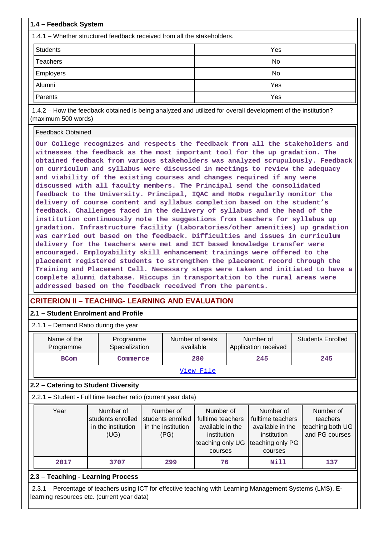| 1.4 - Feedback System                                                                                                                                                                                                                                                                                                                                                                                                                                                                                                                                                                                                                                                                                                                                                                                                                                                                                                                                                                                       |           |  |  |  |  |  |
|-------------------------------------------------------------------------------------------------------------------------------------------------------------------------------------------------------------------------------------------------------------------------------------------------------------------------------------------------------------------------------------------------------------------------------------------------------------------------------------------------------------------------------------------------------------------------------------------------------------------------------------------------------------------------------------------------------------------------------------------------------------------------------------------------------------------------------------------------------------------------------------------------------------------------------------------------------------------------------------------------------------|-----------|--|--|--|--|--|
| 1.4.1 – Whether structured feedback received from all the stakeholders.                                                                                                                                                                                                                                                                                                                                                                                                                                                                                                                                                                                                                                                                                                                                                                                                                                                                                                                                     |           |  |  |  |  |  |
| <b>Students</b>                                                                                                                                                                                                                                                                                                                                                                                                                                                                                                                                                                                                                                                                                                                                                                                                                                                                                                                                                                                             | Yes       |  |  |  |  |  |
| Teachers                                                                                                                                                                                                                                                                                                                                                                                                                                                                                                                                                                                                                                                                                                                                                                                                                                                                                                                                                                                                    | <b>No</b> |  |  |  |  |  |
| <b>Employers</b>                                                                                                                                                                                                                                                                                                                                                                                                                                                                                                                                                                                                                                                                                                                                                                                                                                                                                                                                                                                            | <b>No</b> |  |  |  |  |  |
| Alumni                                                                                                                                                                                                                                                                                                                                                                                                                                                                                                                                                                                                                                                                                                                                                                                                                                                                                                                                                                                                      | Yes       |  |  |  |  |  |
| Parents                                                                                                                                                                                                                                                                                                                                                                                                                                                                                                                                                                                                                                                                                                                                                                                                                                                                                                                                                                                                     | Yes       |  |  |  |  |  |
| 1.4.2 – How the feedback obtained is being analyzed and utilized for overall development of the institution?<br>(maximum 500 words)                                                                                                                                                                                                                                                                                                                                                                                                                                                                                                                                                                                                                                                                                                                                                                                                                                                                         |           |  |  |  |  |  |
| <b>Feedback Obtained</b><br>Our College recognizes and respects the feedback from all the stakeholders and<br>witnesses the feedback as the most important tool for the up gradation. The<br>obtained feedback from various stakeholders was analyzed scrupulously. Feedback<br>on curriculum and syllabus were discussed in meetings to review the adequacy<br>and viability of the existing courses and changes required if any were<br>discussed with all faculty members. The Principal send the consolidated<br>feedback to the University. Principal, IQAC and HoDs regularly monitor the<br>delivery of course content and syllabus completion based on the student's<br>feedback. Challenges faced in the delivery of syllabus and the head of the<br>institution continuously note the suggestions from teachers for syllabus up<br>gradation. Infrastructure facility (Laboratories/other amenities) up gradation<br>was carried out based on the feedback. Difficulties and issues in curriculum |           |  |  |  |  |  |

**placement registered students to strengthen the placement record through the Training and Placement Cell. Necessary steps were taken and initiated to have a complete alumni database. Hiccups in transportation to the rural areas were addressed based on the feedback received from the parents.**

**encouraged. Employability skill enhancement trainings were offered to the**

# **CRITERION II – TEACHING- LEARNING AND EVALUATION**

#### **2.1 – Student Enrolment and Profile**

 2.1.1 – Demand Ratio during the year Name of the Programme Programme Specialization Number of seats available Number of Application received Students Enrolled **BCom Commerce 280 245 245** [View File](https://assessmentonline.naac.gov.in/public/Postacc/Demand_ratio/17567_Demand_ratio_1640260597.xlsx)

## **2.2 – Catering to Student Diversity**

2.2.1 – Student - Full time teacher ratio (current year data)

| Year | Number of<br>students enrolled<br>in the institution<br>(UG) | Number of<br>students enrolled<br>in the institution<br>(PG) | Number of<br>fulltime teachers<br>available in the<br>institution<br>teaching only UG<br>courses | Number of<br>fulltime teachers<br>available in the<br>institution<br>teaching only PG<br>courses | Number of<br>teachers<br>teaching both UG<br>and PG courses |
|------|--------------------------------------------------------------|--------------------------------------------------------------|--------------------------------------------------------------------------------------------------|--------------------------------------------------------------------------------------------------|-------------------------------------------------------------|
| 2017 | 3707                                                         | 299                                                          | 76                                                                                               | Nill                                                                                             | 137                                                         |

### **2.3 – Teaching - Learning Process**

 2.3.1 – Percentage of teachers using ICT for effective teaching with Learning Management Systems (LMS), Elearning resources etc. (current year data)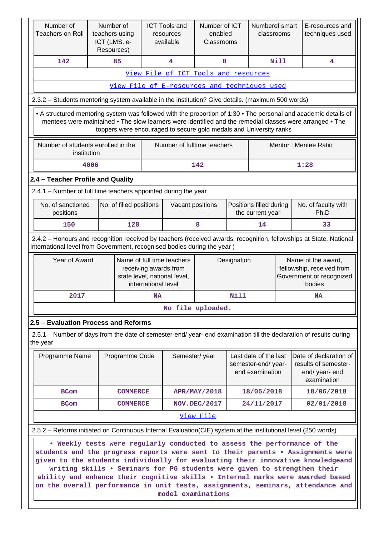| Number of<br><b>Teachers on Roll</b>                                                                                                                                                                                                                                                              | Number of<br>teachers using<br>ICT (LMS, e-<br>Resources)                                                                                                                                                                                                                                                                                                                                                                                                                                                                                                                                                                                |                 |                     | <b>ICT Tools and</b><br>resources<br>available | Number of ICT<br>enabled<br>Classrooms |      | Numberof smart<br>classrooms                                   |             | E-resources and<br>techniques used                                              |
|---------------------------------------------------------------------------------------------------------------------------------------------------------------------------------------------------------------------------------------------------------------------------------------------------|------------------------------------------------------------------------------------------------------------------------------------------------------------------------------------------------------------------------------------------------------------------------------------------------------------------------------------------------------------------------------------------------------------------------------------------------------------------------------------------------------------------------------------------------------------------------------------------------------------------------------------------|-----------------|---------------------|------------------------------------------------|----------------------------------------|------|----------------------------------------------------------------|-------------|---------------------------------------------------------------------------------|
| 142                                                                                                                                                                                                                                                                                               |                                                                                                                                                                                                                                                                                                                                                                                                                                                                                                                                                                                                                                          | 85              |                     | 4                                              | 8                                      |      |                                                                | <b>Nill</b> | 4                                                                               |
|                                                                                                                                                                                                                                                                                                   |                                                                                                                                                                                                                                                                                                                                                                                                                                                                                                                                                                                                                                          |                 |                     | View File of ICT Tools and resources           |                                        |      |                                                                |             |                                                                                 |
|                                                                                                                                                                                                                                                                                                   |                                                                                                                                                                                                                                                                                                                                                                                                                                                                                                                                                                                                                                          |                 |                     | View File of E-resources and techniques used   |                                        |      |                                                                |             |                                                                                 |
| 2.3.2 - Students mentoring system available in the institution? Give details. (maximum 500 words)                                                                                                                                                                                                 |                                                                                                                                                                                                                                                                                                                                                                                                                                                                                                                                                                                                                                          |                 |                     |                                                |                                        |      |                                                                |             |                                                                                 |
| • A structured mentoring system was followed with the proportion of 1:30 • The personal and academic details of<br>mentees were maintained • The slow learners were identified and the remedial classes were arranged • The<br>toppers were encouraged to secure gold medals and University ranks |                                                                                                                                                                                                                                                                                                                                                                                                                                                                                                                                                                                                                                          |                 |                     |                                                |                                        |      |                                                                |             |                                                                                 |
| Number of students enrolled in the                                                                                                                                                                                                                                                                | institution                                                                                                                                                                                                                                                                                                                                                                                                                                                                                                                                                                                                                              |                 |                     | Number of fulltime teachers                    |                                        |      |                                                                |             | Mentor: Mentee Ratio                                                            |
|                                                                                                                                                                                                                                                                                                   | 4006                                                                                                                                                                                                                                                                                                                                                                                                                                                                                                                                                                                                                                     |                 |                     |                                                | 142                                    |      |                                                                |             | 1:28                                                                            |
| 2.4 - Teacher Profile and Quality                                                                                                                                                                                                                                                                 |                                                                                                                                                                                                                                                                                                                                                                                                                                                                                                                                                                                                                                          |                 |                     |                                                |                                        |      |                                                                |             |                                                                                 |
| 2.4.1 – Number of full time teachers appointed during the year                                                                                                                                                                                                                                    |                                                                                                                                                                                                                                                                                                                                                                                                                                                                                                                                                                                                                                          |                 |                     |                                                |                                        |      |                                                                |             |                                                                                 |
| No. of sanctioned<br>Positions filled during<br>No. of filled positions<br>Vacant positions<br>positions<br>the current year                                                                                                                                                                      |                                                                                                                                                                                                                                                                                                                                                                                                                                                                                                                                                                                                                                          |                 |                     | No. of faculty with<br>Ph.D                    |                                        |      |                                                                |             |                                                                                 |
| 150                                                                                                                                                                                                                                                                                               |                                                                                                                                                                                                                                                                                                                                                                                                                                                                                                                                                                                                                                          | 128             | 8<br>14             |                                                |                                        |      |                                                                | 33          |                                                                                 |
|                                                                                                                                                                                                                                                                                                   | 2.4.2 - Honours and recognition received by teachers (received awards, recognition, fellowships at State, National,<br>International level from Government, recognised bodies during the year)<br>Year of Award<br>Name of full time teachers<br>Name of the award,<br>Designation<br>receiving awards from<br>fellowship, received from                                                                                                                                                                                                                                                                                                 |                 |                     |                                                |                                        |      |                                                                |             |                                                                                 |
|                                                                                                                                                                                                                                                                                                   |                                                                                                                                                                                                                                                                                                                                                                                                                                                                                                                                                                                                                                          |                 | international level | state level, national level,                   |                                        |      |                                                                |             | Government or recognized<br>bodies                                              |
| 2017                                                                                                                                                                                                                                                                                              |                                                                                                                                                                                                                                                                                                                                                                                                                                                                                                                                                                                                                                          |                 | <b>NA</b>           |                                                |                                        | Nill |                                                                | <b>NA</b>   |                                                                                 |
|                                                                                                                                                                                                                                                                                                   |                                                                                                                                                                                                                                                                                                                                                                                                                                                                                                                                                                                                                                          |                 |                     | No file uploaded.                              |                                        |      |                                                                |             |                                                                                 |
| 2.5 - Evaluation Process and Reforms                                                                                                                                                                                                                                                              |                                                                                                                                                                                                                                                                                                                                                                                                                                                                                                                                                                                                                                          |                 |                     |                                                |                                        |      |                                                                |             |                                                                                 |
| 2.5.1 – Number of days from the date of semester-end/ year- end examination till the declaration of results during<br>the year                                                                                                                                                                    |                                                                                                                                                                                                                                                                                                                                                                                                                                                                                                                                                                                                                                          |                 |                     |                                                |                                        |      |                                                                |             |                                                                                 |
| Programme Name                                                                                                                                                                                                                                                                                    |                                                                                                                                                                                                                                                                                                                                                                                                                                                                                                                                                                                                                                          | Programme Code  |                     | Semester/year                                  |                                        |      | Last date of the last<br>semester-end/year-<br>end examination |             | Date of declaration of<br>results of semester-<br>end/ year- end<br>examination |
| <b>BCom</b>                                                                                                                                                                                                                                                                                       |                                                                                                                                                                                                                                                                                                                                                                                                                                                                                                                                                                                                                                          | <b>COMMERCE</b> |                     |                                                | <b>APR/MAY/2018</b>                    |      | 18/05/2018                                                     |             | 18/06/2018                                                                      |
| <b>BCom</b>                                                                                                                                                                                                                                                                                       |                                                                                                                                                                                                                                                                                                                                                                                                                                                                                                                                                                                                                                          | <b>COMMERCE</b> |                     |                                                | NOV.DEC/2017                           |      | 24/11/2017                                                     |             | 02/01/2018                                                                      |
|                                                                                                                                                                                                                                                                                                   |                                                                                                                                                                                                                                                                                                                                                                                                                                                                                                                                                                                                                                          |                 |                     |                                                | View File                              |      |                                                                |             |                                                                                 |
|                                                                                                                                                                                                                                                                                                   |                                                                                                                                                                                                                                                                                                                                                                                                                                                                                                                                                                                                                                          |                 |                     |                                                |                                        |      |                                                                |             |                                                                                 |
|                                                                                                                                                                                                                                                                                                   | 2.5.2 – Reforms initiated on Continuous Internal Evaluation (CIE) system at the institutional level (250 words)<br>. Weekly tests were regularly conducted to assess the performance of the<br>students and the progress reports were sent to their parents . Assignments were<br>given to the students individually for evaluating their innovative knowledgeand<br>writing skills . Seminars for PG students were given to strengthen their<br>ability and enhance their cognitive skills . Internal marks were awarded based<br>on the overall performance in unit tests, assignments, seminars, attendance and<br>model examinations |                 |                     |                                                |                                        |      |                                                                |             |                                                                                 |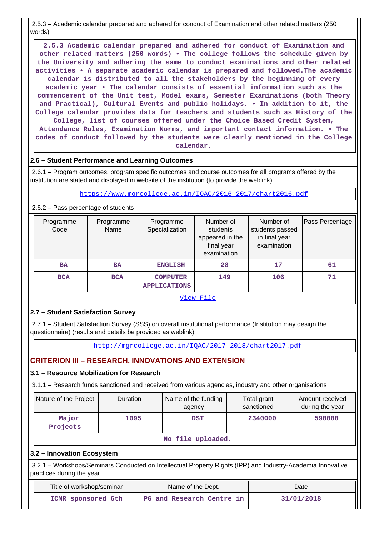2.5.3 – Academic calendar prepared and adhered for conduct of Examination and other related matters (250 words)

 **2.5.3 Academic calendar prepared and adhered for conduct of Examination and other related matters (250 words) • The college follows the schedule given by the University and adhering the same to conduct examinations and other related activities • A separate academic calendar is prepared and followed.The academic calendar is distributed to all the stakeholders by the beginning of every academic year • The calendar consists of essential information such as the commencement of the Unit test, Model exams, Semester Examinations (both Theory and Practical), Cultural Events and public holidays. • In addition to it, the College calendar provides data for teachers and students such as History of the College, list of courses offered under the Choice Based Credit System, Attendance Rules, Examination Norms, and important contact information. • The codes of conduct followed by the students were clearly mentioned in the College calendar.**

#### **2.6 – Student Performance and Learning Outcomes**

 2.6.1 – Program outcomes, program specific outcomes and course outcomes for all programs offered by the institution are stated and displayed in website of the institution (to provide the weblink)

<https://www.mgrcollege.ac.in/IQAC/2016-2017/chart2016.pdf>

#### 2.6.2 – Pass percentage of students

| Programme<br>Code | Programme<br>Name                                    | Programme<br>Specialization | Number of<br>students<br>appeared in the<br>final year<br>examination | Number of<br>students passed<br>in final year<br>examination | Pass Percentage |  |  |
|-------------------|------------------------------------------------------|-----------------------------|-----------------------------------------------------------------------|--------------------------------------------------------------|-----------------|--|--|
| <b>BA</b>         | <b>BA</b>                                            | <b>ENGLISH</b>              | 28                                                                    | 17                                                           | 61              |  |  |
| <b>BCA</b>        | <b>BCA</b><br><b>COMPUTER</b><br><b>APPLICATIONS</b> |                             | 149                                                                   | 106                                                          | 71              |  |  |
| View File         |                                                      |                             |                                                                       |                                                              |                 |  |  |

#### **2.7 – Student Satisfaction Survey**

 2.7.1 – Student Satisfaction Survey (SSS) on overall institutional performance (Institution may design the questionnaire) (results and details be provided as weblink)

<http://mgrcollege.ac.in/IQAC/2017-2018/chart2017.pdf>

## **CRITERION III – RESEARCH, INNOVATIONS AND EXTENSION**

#### **3.1 – Resource Mobilization for Research**

3.1.1 – Research funds sanctioned and received from various agencies, industry and other organisations

| Nature of the Project | <b>Duration</b> | Name of the funding<br>agency | Total grant<br>sanctioned | Amount received<br>during the year |  |
|-----------------------|-----------------|-------------------------------|---------------------------|------------------------------------|--|
| Major<br>Projects     | 1095            | <b>DST</b>                    | 2340000                   | 590000                             |  |
| No file uploaded.     |                 |                               |                           |                                    |  |

#### **3.2 – Innovation Ecosystem**

 3.2.1 – Workshops/Seminars Conducted on Intellectual Property Rights (IPR) and Industry-Academia Innovative practices during the year

| Title of workshop/seminar | Name of the Dept.         | Date       |
|---------------------------|---------------------------|------------|
| ICMR sponsored 6th        | PG and Research Centre in | 31/01/2018 |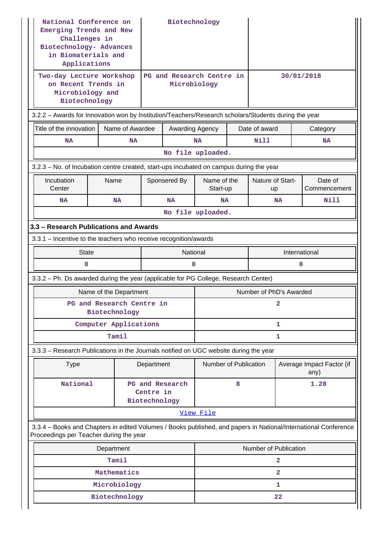| National Conference on<br>Emerging Trends and New<br>Challenges in<br>Biotechnology- Advances<br>in Biomaterials and<br>Applications                       |                                                                                                      |                 |                            | Biotechnology                             |                         |               |                        |   |                                   |
|------------------------------------------------------------------------------------------------------------------------------------------------------------|------------------------------------------------------------------------------------------------------|-----------------|----------------------------|-------------------------------------------|-------------------------|---------------|------------------------|---|-----------------------------------|
|                                                                                                                                                            | Two-day Lecture Workshop<br>on Recent Trends in<br>Microbiology and<br>Biotechnology                 |                 |                            | PG and Research Centre in<br>Microbiology |                         |               | 30/01/2018             |   |                                   |
|                                                                                                                                                            | 3.2.2 - Awards for Innovation won by Institution/Teachers/Research scholars/Students during the year |                 |                            |                                           |                         |               |                        |   |                                   |
| Title of the innovation                                                                                                                                    |                                                                                                      | Name of Awardee |                            | Awarding Agency                           |                         |               | Date of award          |   | Category                          |
| <b>NA</b>                                                                                                                                                  |                                                                                                      | <b>NA</b>       |                            |                                           | <b>NA</b>               |               | Nill                   |   | <b>NA</b>                         |
|                                                                                                                                                            |                                                                                                      |                 |                            |                                           | No file uploaded.       |               |                        |   |                                   |
| 3.2.3 - No. of Incubation centre created, start-ups incubated on campus during the year                                                                    |                                                                                                      |                 |                            |                                           |                         |               |                        |   |                                   |
| Incubation<br>Center                                                                                                                                       | Name                                                                                                 |                 |                            | Sponsered By                              | Name of the<br>Start-up |               | Nature of Start-<br>up |   | Date of<br>Commencement           |
| NA                                                                                                                                                         |                                                                                                      | <b>NA</b>       |                            | <b>NA</b>                                 | <b>NA</b>               |               | <b>NA</b>              |   | Nill                              |
|                                                                                                                                                            |                                                                                                      |                 |                            |                                           | No file uploaded.       |               |                        |   |                                   |
|                                                                                                                                                            | 3.3 - Research Publications and Awards                                                               |                 |                            |                                           |                         |               |                        |   |                                   |
|                                                                                                                                                            | 3.3.1 - Incentive to the teachers who receive recognition/awards                                     |                 |                            |                                           |                         |               |                        |   |                                   |
|                                                                                                                                                            | <b>State</b>                                                                                         |                 | National                   |                                           |                         | International |                        |   |                                   |
| 0                                                                                                                                                          |                                                                                                      |                 |                            | $\mathbf{0}$                              |                         |               |                        | 0 |                                   |
| 3.3.2 - Ph. Ds awarded during the year (applicable for PG College, Research Center)                                                                        |                                                                                                      |                 |                            |                                           |                         |               |                        |   |                                   |
|                                                                                                                                                            | Name of the Department                                                                               |                 |                            |                                           | Number of PhD's Awarded |               |                        |   |                                   |
|                                                                                                                                                            | PG and Research Centre in<br>Biotechnology                                                           |                 |                            |                                           |                         |               | 2                      |   |                                   |
|                                                                                                                                                            | Computer Applications                                                                                |                 |                            |                                           |                         |               | 1                      |   |                                   |
|                                                                                                                                                            |                                                                                                      | Tamil           |                            |                                           |                         |               | 1                      |   |                                   |
| 3.3.3 – Research Publications in the Journals notified on UGC website during the year                                                                      |                                                                                                      |                 |                            |                                           |                         |               |                        |   |                                   |
| <b>Type</b>                                                                                                                                                |                                                                                                      |                 | Department                 |                                           | Number of Publication   |               |                        |   | Average Impact Factor (if<br>any) |
| National                                                                                                                                                   |                                                                                                      |                 | Centre in<br>Biotechnology | PG and Research                           |                         | 8             |                        |   | 1.28                              |
|                                                                                                                                                            |                                                                                                      |                 |                            |                                           | View File               |               |                        |   |                                   |
| 3.3.4 – Books and Chapters in edited Volumes / Books published, and papers in National/International Conference<br>Proceedings per Teacher during the year |                                                                                                      |                 |                            |                                           |                         |               |                        |   |                                   |
|                                                                                                                                                            | Department                                                                                           |                 |                            |                                           |                         |               | Number of Publication  |   |                                   |
|                                                                                                                                                            |                                                                                                      | Tamil           |                            |                                           |                         |               | 2                      |   |                                   |
|                                                                                                                                                            |                                                                                                      | Mathematics     |                            |                                           |                         |               | $\mathbf{2}$           |   |                                   |
|                                                                                                                                                            |                                                                                                      | Microbiology    |                            |                                           |                         |               | 1                      |   |                                   |
|                                                                                                                                                            |                                                                                                      | Biotechnology   |                            |                                           |                         |               | 22                     |   |                                   |

Н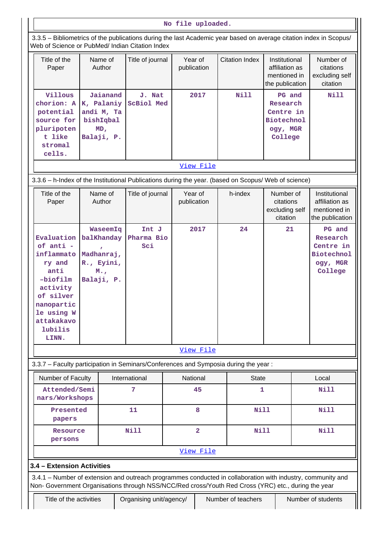#### **No file uploaded.**

 3.3.5 – Bibliometrics of the publications during the last Academic year based on average citation index in Scopus/ Web of Science or PubMed/ Indian Citation Index

| <u>WED OF SCIENCE OF FUDIVIEW THUMAN CHANOTENIQUE</u>                                                                                                          |                                                                         |                                                                                     |                        |                       |                                                                             |                                                                             |  |
|----------------------------------------------------------------------------------------------------------------------------------------------------------------|-------------------------------------------------------------------------|-------------------------------------------------------------------------------------|------------------------|-----------------------|-----------------------------------------------------------------------------|-----------------------------------------------------------------------------|--|
| Title of the<br>Paper                                                                                                                                          | Name of<br>Author                                                       | Title of journal                                                                    | Year of<br>publication | <b>Citation Index</b> | Institutional<br>affiliation as<br>mentioned in<br>the publication          | Number of<br>citations<br>excluding self<br>citation                        |  |
| Villous<br>chorion: A<br>potential<br>source for<br>pluripoten<br>t like<br>stromal<br>cells.                                                                  | Jaianand<br>K, Palaniy<br>andi M, Ta<br>bishIqbal<br>MD,<br>Balaji, P.  | J. Nat<br><b>ScBiol Med</b>                                                         | 2017                   | <b>Nill</b>           | PG and<br>Research<br>Centre in<br><b>Biotechnol</b><br>ogy, MGR<br>College | Nill                                                                        |  |
| View File                                                                                                                                                      |                                                                         |                                                                                     |                        |                       |                                                                             |                                                                             |  |
| 3.3.6 - h-Index of the Institutional Publications during the year. (based on Scopus/ Web of science)                                                           |                                                                         |                                                                                     |                        |                       |                                                                             |                                                                             |  |
| Title of the<br>Paper                                                                                                                                          | Name of<br>Author                                                       | Title of journal                                                                    | Year of<br>publication | h-index               | Number of<br>citations<br>excluding self<br>citation                        | Institutional<br>affiliation as<br>mentioned in<br>the publication          |  |
| Evaluation<br>$of anti -$<br>inflammato<br>ry and<br>anti<br>$-biofilm$<br>activity<br>of silver<br>nanopartic<br>le using W<br>attakakavo<br>lubilis<br>LINN. | WaseemIq<br>balKhanday<br>Madhanraj,<br>R., Eyini,<br>M.,<br>Balaji, P. | Int J<br>Pharma Bio<br>Sci                                                          | 2017                   | 24                    | 21                                                                          | PG and<br>Research<br>Centre in<br><b>Biotechnol</b><br>ogy, MGR<br>College |  |
|                                                                                                                                                                |                                                                         |                                                                                     | View File              |                       |                                                                             |                                                                             |  |
|                                                                                                                                                                |                                                                         | 3.3.7 - Faculty participation in Seminars/Conferences and Symposia during the year: |                        |                       |                                                                             |                                                                             |  |
|                                                                                                                                                                |                                                                         |                                                                                     |                        |                       |                                                                             |                                                                             |  |

| Number of Faculty               | International | National       | <b>State</b> | Local |
|---------------------------------|---------------|----------------|--------------|-------|
| Attended/Semi<br>nars/Workshops | 57            | 45             |              | Nill  |
| Presented<br>papers             | 11            | 8              | Nill         | Nill  |
| Resource<br>persons             | Nill          | 2              | Nill         | Nill  |
|                                 |               | $V_1 \sim V_2$ |              |       |

#### [View File](https://assessmentonline.naac.gov.in/public/Postacc/Faculty_participation/17567_Faculty_participation_1640320488.xlsx)

#### **3.4 – Extension Activities**

 3.4.1 – Number of extension and outreach programmes conducted in collaboration with industry, community and Non- Government Organisations through NSS/NCC/Red cross/Youth Red Cross (YRC) etc., during the year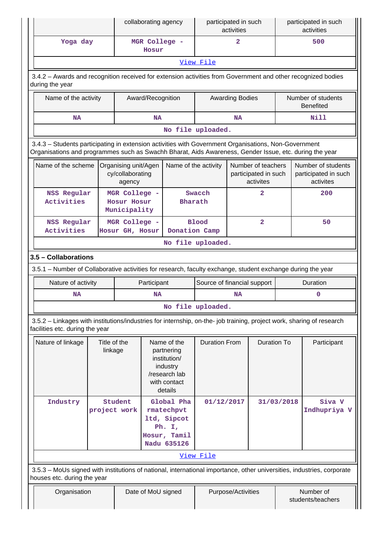|                                                                                                                                                                                                                |                         |                                                    | collaborating agency                        |                                                                                                   |                             | participated in such<br>activities |                                                         |            | participated in such<br>activities                                                                                     |  |
|----------------------------------------------------------------------------------------------------------------------------------------------------------------------------------------------------------------|-------------------------|----------------------------------------------------|---------------------------------------------|---------------------------------------------------------------------------------------------------|-----------------------------|------------------------------------|---------------------------------------------------------|------------|------------------------------------------------------------------------------------------------------------------------|--|
| Yoga day                                                                                                                                                                                                       |                         |                                                    | MGR College -<br>Hosur                      |                                                                                                   |                             | $\overline{2}$                     |                                                         |            | 500                                                                                                                    |  |
|                                                                                                                                                                                                                |                         |                                                    |                                             |                                                                                                   | View File                   |                                    |                                                         |            |                                                                                                                        |  |
| 3.4.2 - Awards and recognition received for extension activities from Government and other recognized bodies<br>during the year                                                                                |                         |                                                    |                                             |                                                                                                   |                             |                                    |                                                         |            |                                                                                                                        |  |
| Name of the activity                                                                                                                                                                                           |                         |                                                    |                                             | Award/Recognition<br><b>Awarding Bodies</b>                                                       |                             |                                    |                                                         |            | Number of students<br><b>Benefited</b>                                                                                 |  |
| <b>NA</b>                                                                                                                                                                                                      |                         |                                                    | <b>NA</b>                                   |                                                                                                   |                             | <b>NA</b>                          |                                                         |            | <b>Nill</b>                                                                                                            |  |
|                                                                                                                                                                                                                |                         |                                                    |                                             |                                                                                                   | No file uploaded.           |                                    |                                                         |            |                                                                                                                        |  |
| 3.4.3 - Students participating in extension activities with Government Organisations, Non-Government<br>Organisations and programmes such as Swachh Bharat, Aids Awareness, Gender Issue, etc. during the year |                         |                                                    |                                             |                                                                                                   |                             |                                    |                                                         |            |                                                                                                                        |  |
| Name of the scheme                                                                                                                                                                                             |                         | Organising unit/Agen<br>cy/collaborating<br>agency |                                             | Name of the activity                                                                              |                             |                                    | Number of teachers<br>participated in such<br>activites |            | Number of students<br>participated in such<br>activites                                                                |  |
| <b>NSS Regular</b><br>Activities                                                                                                                                                                               |                         | MGR College -<br>Hosur Hosur<br>Municipality       |                                             | <b>Bharath</b>                                                                                    | Swacch                      |                                    | $\overline{a}$                                          |            | 200                                                                                                                    |  |
| <b>NSS Regular</b><br>Activities                                                                                                                                                                               |                         | MGR College -<br>Hosur GH, Hosur                   |                                             | Donation Camp                                                                                     | <b>Blood</b>                |                                    | $\overline{a}$                                          |            | 50                                                                                                                     |  |
| No file uploaded.                                                                                                                                                                                              |                         |                                                    |                                             |                                                                                                   |                             |                                    |                                                         |            |                                                                                                                        |  |
| 3.5 - Collaborations                                                                                                                                                                                           |                         |                                                    |                                             |                                                                                                   |                             |                                    |                                                         |            |                                                                                                                        |  |
| 3.5.1 – Number of Collaborative activities for research, faculty exchange, student exchange during the year                                                                                                    |                         |                                                    |                                             |                                                                                                   |                             |                                    |                                                         |            |                                                                                                                        |  |
| Nature of activity                                                                                                                                                                                             |                         |                                                    | Participant                                 |                                                                                                   | Source of financial support |                                    | Duration                                                |            |                                                                                                                        |  |
| <b>NA</b>                                                                                                                                                                                                      |                         |                                                    | <b>NA</b><br><b>NA</b><br>No file uploaded. |                                                                                                   |                             | 0                                  |                                                         |            |                                                                                                                        |  |
|                                                                                                                                                                                                                |                         |                                                    |                                             |                                                                                                   |                             |                                    |                                                         |            |                                                                                                                        |  |
| 3.5.2 - Linkages with institutions/industries for internship, on-the- job training, project work, sharing of research<br>facilities etc. during the year                                                       |                         |                                                    |                                             |                                                                                                   |                             |                                    |                                                         |            |                                                                                                                        |  |
| Nature of linkage                                                                                                                                                                                              | Title of the<br>linkage |                                                    |                                             | Name of the<br>partnering<br>institution/<br>industry<br>/research lab<br>with contact<br>details | <b>Duration From</b>        |                                    | <b>Duration To</b>                                      |            | Participant                                                                                                            |  |
| Industry                                                                                                                                                                                                       | project work            | Student                                            |                                             | Global Pha<br>rmatechpvt<br>ltd, Sipcot<br>Ph. $I$ ,<br>Hosur, Tamil<br>Nadu 635126               | 01/12/2017                  |                                    |                                                         | 31/03/2018 | Siva V<br>Indhupriya V                                                                                                 |  |
|                                                                                                                                                                                                                |                         |                                                    |                                             |                                                                                                   | View File                   |                                    |                                                         |            |                                                                                                                        |  |
| houses etc. during the year                                                                                                                                                                                    |                         |                                                    |                                             |                                                                                                   |                             |                                    |                                                         |            | 3.5.3 - MoUs signed with institutions of national, international importance, other universities, industries, corporate |  |
| Organisation                                                                                                                                                                                                   |                         |                                                    | Date of MoU signed                          |                                                                                                   |                             | Purpose/Activities                 |                                                         |            | Number of<br>students/teachers                                                                                         |  |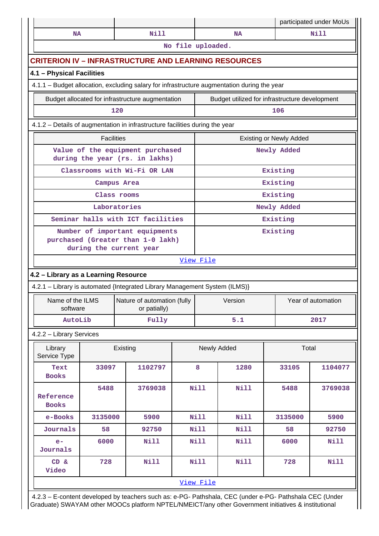|                                      |                                                                                                |                                                                                             |  |             |                                                |                                | participated under MoUs |
|--------------------------------------|------------------------------------------------------------------------------------------------|---------------------------------------------------------------------------------------------|--|-------------|------------------------------------------------|--------------------------------|-------------------------|
| <b>NA</b>                            |                                                                                                | <b>Nill</b>                                                                                 |  |             | <b>NA</b>                                      |                                | <b>Nill</b>             |
|                                      | No file uploaded.                                                                              |                                                                                             |  |             |                                                |                                |                         |
|                                      |                                                                                                | <b>CRITERION IV - INFRASTRUCTURE AND LEARNING RESOURCES</b>                                 |  |             |                                                |                                |                         |
| 4.1 - Physical Facilities            |                                                                                                |                                                                                             |  |             |                                                |                                |                         |
|                                      |                                                                                                | 4.1.1 - Budget allocation, excluding salary for infrastructure augmentation during the year |  |             |                                                |                                |                         |
|                                      | Budget allocated for infrastructure augmentation                                               |                                                                                             |  |             | Budget utilized for infrastructure development |                                |                         |
|                                      |                                                                                                | 120                                                                                         |  |             |                                                | 106                            |                         |
|                                      |                                                                                                | 4.1.2 - Details of augmentation in infrastructure facilities during the year                |  |             |                                                |                                |                         |
|                                      | <b>Facilities</b>                                                                              |                                                                                             |  |             |                                                | <b>Existing or Newly Added</b> |                         |
|                                      | Value of the equipment purchased<br>during the year (rs. in lakhs)                             |                                                                                             |  |             |                                                | Newly Added                    |                         |
|                                      |                                                                                                | Classrooms with Wi-Fi OR LAN                                                                |  |             |                                                | Existing                       |                         |
|                                      |                                                                                                | Campus Area                                                                                 |  |             |                                                | Existing                       |                         |
|                                      |                                                                                                | Class rooms                                                                                 |  |             |                                                | Existing                       |                         |
|                                      |                                                                                                | Laboratories                                                                                |  |             |                                                | Newly Added                    |                         |
|                                      |                                                                                                | Seminar halls with ICT facilities                                                           |  | Existing    |                                                |                                |                         |
|                                      | Number of important equipments<br>purchased (Greater than 1-0 lakh)<br>during the current year |                                                                                             |  | Existing    |                                                |                                |                         |
|                                      |                                                                                                |                                                                                             |  | View File   |                                                |                                |                         |
| 4.2 - Library as a Learning Resource |                                                                                                |                                                                                             |  |             |                                                |                                |                         |
|                                      |                                                                                                | 4.2.1 - Library is automated {Integrated Library Management System (ILMS)}                  |  |             |                                                |                                |                         |
| Name of the ILMS<br>software         |                                                                                                | Nature of automation (fully<br>or patially)                                                 |  |             | Version                                        |                                | Year of automation      |
| AutoLib                              |                                                                                                | Fully                                                                                       |  |             | 5.1                                            |                                | 2017                    |
| 4.2.2 - Library Services             |                                                                                                |                                                                                             |  |             |                                                |                                |                         |
| Library<br>Service Type              |                                                                                                | Existing                                                                                    |  |             | Newly Added                                    | Total                          |                         |
| Text<br><b>Books</b>                 | 33097                                                                                          | 1102797                                                                                     |  | 8           | 1280                                           | 33105                          | 1104077                 |
| Reference<br><b>Books</b>            | 5488                                                                                           | 3769038                                                                                     |  | <b>Nill</b> | <b>Nill</b>                                    | 5488                           | 3769038                 |
| e-Books                              | 3135000                                                                                        | 5900                                                                                        |  | <b>Nill</b> | Nill                                           | 3135000                        | 5900                    |
| Journals                             | 58                                                                                             | 92750                                                                                       |  | Nill        | Nill                                           | 58                             | 92750                   |
| $e-$<br>Journals                     | 6000                                                                                           | <b>Nill</b>                                                                                 |  | <b>Nill</b> | Nill                                           | 6000                           | <b>Nill</b>             |
| CD &<br>Video                        | 728                                                                                            | <b>Nill</b>                                                                                 |  | <b>Nill</b> | Nill                                           | 728                            | <b>Nill</b>             |
|                                      |                                                                                                |                                                                                             |  | View File   |                                                |                                |                         |

 4.2.3 – E-content developed by teachers such as: e-PG- Pathshala, CEC (under e-PG- Pathshala CEC (Under Graduate) SWAYAM other MOOCs platform NPTEL/NMEICT/any other Government initiatives & institutional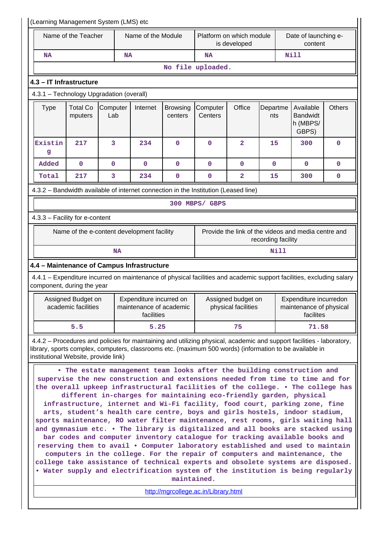| (Learning Management System (LMS) etc                                                                                                              |                                                                                                                                                                                                                                                                                                                                                                                                                                                                                                                                                                                                                                                                                                                                                                                                                                                                                                                                                                                                                                                                                                                                                                                                                                              |                 |                                                                  |                            |                                          |                                           |                 |                                                                |               |
|----------------------------------------------------------------------------------------------------------------------------------------------------|----------------------------------------------------------------------------------------------------------------------------------------------------------------------------------------------------------------------------------------------------------------------------------------------------------------------------------------------------------------------------------------------------------------------------------------------------------------------------------------------------------------------------------------------------------------------------------------------------------------------------------------------------------------------------------------------------------------------------------------------------------------------------------------------------------------------------------------------------------------------------------------------------------------------------------------------------------------------------------------------------------------------------------------------------------------------------------------------------------------------------------------------------------------------------------------------------------------------------------------------|-----------------|------------------------------------------------------------------|----------------------------|------------------------------------------|-------------------------------------------|-----------------|----------------------------------------------------------------|---------------|
|                                                                                                                                                    | Name of the Teacher                                                                                                                                                                                                                                                                                                                                                                                                                                                                                                                                                                                                                                                                                                                                                                                                                                                                                                                                                                                                                                                                                                                                                                                                                          |                 | Name of the Module                                               |                            | Platform on which module<br>is developed |                                           |                 | Date of launching e-<br>content                                |               |
| <b>NA</b>                                                                                                                                          |                                                                                                                                                                                                                                                                                                                                                                                                                                                                                                                                                                                                                                                                                                                                                                                                                                                                                                                                                                                                                                                                                                                                                                                                                                              |                 | <b>NA</b>                                                        |                            | <b>NA</b>                                |                                           |                 | <b>Nill</b>                                                    |               |
|                                                                                                                                                    |                                                                                                                                                                                                                                                                                                                                                                                                                                                                                                                                                                                                                                                                                                                                                                                                                                                                                                                                                                                                                                                                                                                                                                                                                                              |                 |                                                                  |                            | No file uploaded.                        |                                           |                 |                                                                |               |
| 4.3 - IT Infrastructure                                                                                                                            |                                                                                                                                                                                                                                                                                                                                                                                                                                                                                                                                                                                                                                                                                                                                                                                                                                                                                                                                                                                                                                                                                                                                                                                                                                              |                 |                                                                  |                            |                                          |                                           |                 |                                                                |               |
| 4.3.1 - Technology Upgradation (overall)                                                                                                           |                                                                                                                                                                                                                                                                                                                                                                                                                                                                                                                                                                                                                                                                                                                                                                                                                                                                                                                                                                                                                                                                                                                                                                                                                                              |                 |                                                                  |                            |                                          |                                           |                 |                                                                |               |
| <b>Type</b>                                                                                                                                        | <b>Total Co</b><br>mputers                                                                                                                                                                                                                                                                                                                                                                                                                                                                                                                                                                                                                                                                                                                                                                                                                                                                                                                                                                                                                                                                                                                                                                                                                   | Computer<br>Lab | Internet                                                         | <b>Browsing</b><br>centers | Computer<br>Centers                      | Office                                    | Departme<br>nts | Available<br><b>Bandwidt</b><br>h (MBPS/<br>GBPS)              | <b>Others</b> |
| Existin<br>g                                                                                                                                       | 217                                                                                                                                                                                                                                                                                                                                                                                                                                                                                                                                                                                                                                                                                                                                                                                                                                                                                                                                                                                                                                                                                                                                                                                                                                          | 3               | 234                                                              | $\mathbf{O}$               | $\mathbf 0$                              | $\overline{2}$                            | 15              | 300                                                            | $\mathbf 0$   |
| Added                                                                                                                                              | $\mathbf 0$                                                                                                                                                                                                                                                                                                                                                                                                                                                                                                                                                                                                                                                                                                                                                                                                                                                                                                                                                                                                                                                                                                                                                                                                                                  | $\mathbf 0$     | $\mathbf 0$                                                      | $\mathbf 0$                | 0                                        | $\mathbf 0$                               | $\mathbf 0$     | 0                                                              | 0             |
| Total                                                                                                                                              | 217                                                                                                                                                                                                                                                                                                                                                                                                                                                                                                                                                                                                                                                                                                                                                                                                                                                                                                                                                                                                                                                                                                                                                                                                                                          | 3               | 234                                                              | 0                          | $\mathbf 0$                              | 2                                         | 15              | 300                                                            | 0             |
| 4.3.2 - Bandwidth available of internet connection in the Institution (Leased line)                                                                |                                                                                                                                                                                                                                                                                                                                                                                                                                                                                                                                                                                                                                                                                                                                                                                                                                                                                                                                                                                                                                                                                                                                                                                                                                              |                 |                                                                  |                            |                                          |                                           |                 |                                                                |               |
|                                                                                                                                                    |                                                                                                                                                                                                                                                                                                                                                                                                                                                                                                                                                                                                                                                                                                                                                                                                                                                                                                                                                                                                                                                                                                                                                                                                                                              |                 |                                                                  |                            | 300 MBPS/ GBPS                           |                                           |                 |                                                                |               |
| 4.3.3 - Facility for e-content                                                                                                                     |                                                                                                                                                                                                                                                                                                                                                                                                                                                                                                                                                                                                                                                                                                                                                                                                                                                                                                                                                                                                                                                                                                                                                                                                                                              |                 |                                                                  |                            |                                          |                                           |                 |                                                                |               |
|                                                                                                                                                    | Name of the e-content development facility<br>Provide the link of the videos and media centre and<br>recording facility                                                                                                                                                                                                                                                                                                                                                                                                                                                                                                                                                                                                                                                                                                                                                                                                                                                                                                                                                                                                                                                                                                                      |                 |                                                                  |                            |                                          |                                           |                 |                                                                |               |
|                                                                                                                                                    |                                                                                                                                                                                                                                                                                                                                                                                                                                                                                                                                                                                                                                                                                                                                                                                                                                                                                                                                                                                                                                                                                                                                                                                                                                              | <b>NA</b>       |                                                                  |                            |                                          |                                           | Nill            |                                                                |               |
| 4.4 - Maintenance of Campus Infrastructure                                                                                                         |                                                                                                                                                                                                                                                                                                                                                                                                                                                                                                                                                                                                                                                                                                                                                                                                                                                                                                                                                                                                                                                                                                                                                                                                                                              |                 |                                                                  |                            |                                          |                                           |                 |                                                                |               |
| 4.4.1 - Expenditure incurred on maintenance of physical facilities and academic support facilities, excluding salary<br>component, during the year |                                                                                                                                                                                                                                                                                                                                                                                                                                                                                                                                                                                                                                                                                                                                                                                                                                                                                                                                                                                                                                                                                                                                                                                                                                              |                 |                                                                  |                            |                                          |                                           |                 |                                                                |               |
|                                                                                                                                                    | Assigned Budget on<br>academic facilities                                                                                                                                                                                                                                                                                                                                                                                                                                                                                                                                                                                                                                                                                                                                                                                                                                                                                                                                                                                                                                                                                                                                                                                                    |                 | Expenditure incurred on<br>maintenance of academic<br>facilities |                            |                                          | Assigned budget on<br>physical facilities |                 | Expenditure incurredon<br>maintenance of physical<br>facilites |               |
|                                                                                                                                                    | 5.5                                                                                                                                                                                                                                                                                                                                                                                                                                                                                                                                                                                                                                                                                                                                                                                                                                                                                                                                                                                                                                                                                                                                                                                                                                          |                 | 5.25                                                             |                            |                                          | 75                                        |                 | 71.58                                                          |               |
| 4.4.2 - Procedures and policies for maintaining and utilizing physical, academic and support facilities - laboratory,                              |                                                                                                                                                                                                                                                                                                                                                                                                                                                                                                                                                                                                                                                                                                                                                                                                                                                                                                                                                                                                                                                                                                                                                                                                                                              |                 |                                                                  |                            |                                          |                                           |                 |                                                                |               |
|                                                                                                                                                    | library, sports complex, computers, classrooms etc. (maximum 500 words) (information to be available in<br>institutional Website, provide link)<br>. The estate management team looks after the building construction and<br>supervise the new construction and extensions needed from time to time and for<br>the overall upkeep infrastructural facilities of the college. . The college has<br>different in-charges for maintaining eco-friendly garden, physical<br>infrastructure, internet and Wi-Fi facility, food court, parking zone, fine<br>arts, student's health care centre, boys and girls hostels, indoor stadium,<br>sports maintenance, RO water filter maintenance, rest rooms, girls waiting hall<br>and gymnasium etc. . The library is digitalized and all books are stacked using<br>bar codes and computer inventory catalogue for tracking available books and<br>reserving them to avail . Computer laboratory established and used to maintain<br>computers in the college. For the repair of computers and maintenance, the<br>college take assistance of technical experts and obsolete systems are disposed.<br>. Water supply and electrification system of the institution is being regularly<br>maintained. |                 |                                                                  |                            |                                          |                                           |                 |                                                                |               |
|                                                                                                                                                    |                                                                                                                                                                                                                                                                                                                                                                                                                                                                                                                                                                                                                                                                                                                                                                                                                                                                                                                                                                                                                                                                                                                                                                                                                                              |                 |                                                                  |                            | http://mgrcollege.ac.in/Library.html     |                                           |                 |                                                                |               |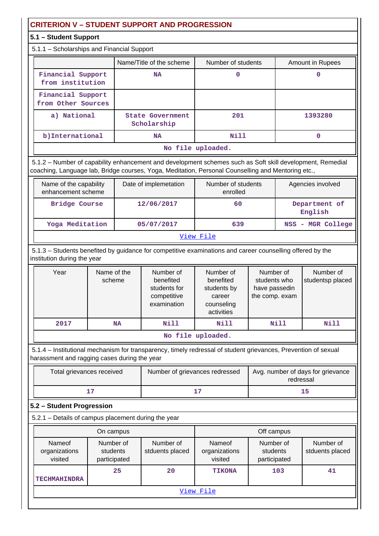## **CRITERION V – STUDENT SUPPORT AND PROGRESSION**

### **5.1 – Student Support**

#### 5.1.1 – Scholarships and Financial Support

|                                         | . .                                    |                    |                  |  |  |  |
|-----------------------------------------|----------------------------------------|--------------------|------------------|--|--|--|
|                                         | Name/Title of the scheme               | Number of students | Amount in Rupees |  |  |  |
| Financial Support<br>from institution   | <b>NA</b>                              |                    |                  |  |  |  |
| Financial Support<br>from Other Sources |                                        |                    |                  |  |  |  |
| a) National                             | <b>State Government</b><br>Scholarship | 201                | 1393280          |  |  |  |
| b) International                        | <b>NA</b>                              | Nill               |                  |  |  |  |
| No file uploaded.                       |                                        |                    |                  |  |  |  |

 5.1.2 – Number of capability enhancement and development schemes such as Soft skill development, Remedial coaching, Language lab, Bridge courses, Yoga, Meditation, Personal Counselling and Mentoring etc.,

| Name of the capability<br>enhancement scheme | Date of implemetation | Number of students<br>enrolled | Agencies involved        |  |  |
|----------------------------------------------|-----------------------|--------------------------------|--------------------------|--|--|
| Bridge Course                                | 12/06/2017            | 60                             | Department of<br>English |  |  |
| Yoga Meditation                              | 05/07/2017            | 639                            | NSS - MGR College        |  |  |
| View File                                    |                       |                                |                          |  |  |

 5.1.3 – Students benefited by guidance for competitive examinations and career counselling offered by the institution during the year

| Year              | Name of the<br>scheme | Number of<br>benefited<br>students for<br>competitive<br>examination | Number of<br>benefited<br>students by<br>career<br>counseling<br>activities | Number of<br>students who<br>have passedin<br>the comp. exam | Number of<br>studentsp placed |  |
|-------------------|-----------------------|----------------------------------------------------------------------|-----------------------------------------------------------------------------|--------------------------------------------------------------|-------------------------------|--|
| 2017              | NA                    | Nill                                                                 | Nill                                                                        | Nill                                                         | Nill                          |  |
| No file uploaded. |                       |                                                                      |                                                                             |                                                              |                               |  |

 5.1.4 – Institutional mechanism for transparency, timely redressal of student grievances, Prevention of sexual harassment and ragging cases during the year

| Total grievances received | Number of grievances redressed | Avg. number of days for grievance<br>redressal |
|---------------------------|--------------------------------|------------------------------------------------|
|                           | - 7                            |                                                |

#### **5.2 – Student Progression**

5.2.1 – Details of campus placement during the year

|                                    | On campus                             |                              |                                    | Off campus                            |                              |
|------------------------------------|---------------------------------------|------------------------------|------------------------------------|---------------------------------------|------------------------------|
| Nameof<br>organizations<br>visited | Number of<br>students<br>participated | Number of<br>stduents placed | Nameof<br>organizations<br>visited | Number of<br>students<br>participated | Number of<br>stduents placed |
|                                    | 25                                    | 20                           | <b>TIKONA</b>                      | 103                                   | 41                           |
| <b>TECHMAHINDRA</b>                |                                       |                              |                                    |                                       |                              |
|                                    |                                       |                              | View File                          |                                       |                              |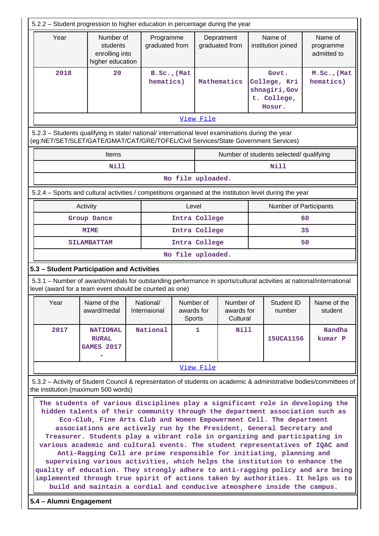| 5.2.2 – Student progression to higher education in percentage during the year                                                                                                                                                                       |                                                                                                                                                                                                                                                                                                                                                                                                                                                                                                                                                                                                                               |                             |            |                            |                                     |  |                                                                 |                                                                                                                    |  |
|-----------------------------------------------------------------------------------------------------------------------------------------------------------------------------------------------------------------------------------------------------|-------------------------------------------------------------------------------------------------------------------------------------------------------------------------------------------------------------------------------------------------------------------------------------------------------------------------------------------------------------------------------------------------------------------------------------------------------------------------------------------------------------------------------------------------------------------------------------------------------------------------------|-----------------------------|------------|----------------------------|-------------------------------------|--|-----------------------------------------------------------------|--------------------------------------------------------------------------------------------------------------------|--|
| Year                                                                                                                                                                                                                                                | Number of<br>students<br>enrolling into<br>higher education                                                                                                                                                                                                                                                                                                                                                                                                                                                                                                                                                                   | Programme<br>graduated from |            |                            | Depratment<br>graduated from        |  | Name of<br>institution joined                                   | Name of<br>programme<br>admitted to                                                                                |  |
| 2018                                                                                                                                                                                                                                                | 20                                                                                                                                                                                                                                                                                                                                                                                                                                                                                                                                                                                                                            | B.Sc., (Mat<br>hematics)    |            |                            | Mathematics                         |  | Govt.<br>College, Kri<br>shnagiri, Gov<br>t. College,<br>Hosur. | M.Sc., (Mat<br>hematics)                                                                                           |  |
|                                                                                                                                                                                                                                                     |                                                                                                                                                                                                                                                                                                                                                                                                                                                                                                                                                                                                                               |                             |            | View File                  |                                     |  |                                                                 |                                                                                                                    |  |
| 5.2.3 - Students qualifying in state/ national/ international level examinations during the year<br>(eg:NET/SET/SLET/GATE/GMAT/CAT/GRE/TOFEL/Civil Services/State Government Services)                                                              |                                                                                                                                                                                                                                                                                                                                                                                                                                                                                                                                                                                                                               |                             |            |                            |                                     |  |                                                                 |                                                                                                                    |  |
|                                                                                                                                                                                                                                                     | <b>Items</b>                                                                                                                                                                                                                                                                                                                                                                                                                                                                                                                                                                                                                  |                             |            |                            |                                     |  | Number of students selected/ qualifying                         |                                                                                                                    |  |
|                                                                                                                                                                                                                                                     | Nill                                                                                                                                                                                                                                                                                                                                                                                                                                                                                                                                                                                                                          |                             |            |                            |                                     |  | <b>Nill</b>                                                     |                                                                                                                    |  |
|                                                                                                                                                                                                                                                     |                                                                                                                                                                                                                                                                                                                                                                                                                                                                                                                                                                                                                               |                             |            | No file uploaded.          |                                     |  |                                                                 |                                                                                                                    |  |
| 5.2.4 - Sports and cultural activities / competitions organised at the institution level during the year                                                                                                                                            |                                                                                                                                                                                                                                                                                                                                                                                                                                                                                                                                                                                                                               |                             |            |                            |                                     |  |                                                                 |                                                                                                                    |  |
|                                                                                                                                                                                                                                                     | Activity                                                                                                                                                                                                                                                                                                                                                                                                                                                                                                                                                                                                                      |                             | Level      |                            |                                     |  | <b>Number of Participants</b>                                   |                                                                                                                    |  |
|                                                                                                                                                                                                                                                     | Group Dance                                                                                                                                                                                                                                                                                                                                                                                                                                                                                                                                                                                                                   |                             |            | Intra College              |                                     |  |                                                                 | 60                                                                                                                 |  |
|                                                                                                                                                                                                                                                     | <b>MIME</b>                                                                                                                                                                                                                                                                                                                                                                                                                                                                                                                                                                                                                   |                             |            | Intra College              |                                     |  |                                                                 | 35                                                                                                                 |  |
|                                                                                                                                                                                                                                                     | <b>SILAMBATTAM</b>                                                                                                                                                                                                                                                                                                                                                                                                                                                                                                                                                                                                            |                             |            | Intra College              |                                     |  |                                                                 | 50                                                                                                                 |  |
|                                                                                                                                                                                                                                                     |                                                                                                                                                                                                                                                                                                                                                                                                                                                                                                                                                                                                                               |                             |            | No file uploaded.          |                                     |  |                                                                 |                                                                                                                    |  |
| 5.3 - Student Participation and Activities                                                                                                                                                                                                          |                                                                                                                                                                                                                                                                                                                                                                                                                                                                                                                                                                                                                               |                             |            |                            |                                     |  |                                                                 |                                                                                                                    |  |
| 5.3.1 - Number of awards/medals for outstanding performance in sports/cultural activities at national/international<br>level (award for a team event should be counted as one)                                                                      |                                                                                                                                                                                                                                                                                                                                                                                                                                                                                                                                                                                                                               |                             |            |                            |                                     |  |                                                                 |                                                                                                                    |  |
| Year                                                                                                                                                                                                                                                | Name of the<br>award/medal                                                                                                                                                                                                                                                                                                                                                                                                                                                                                                                                                                                                    | National/<br>Internaional   | awards for | Number of<br><b>Sports</b> | Number of<br>awards for<br>Cultural |  | Student ID<br>number                                            | Name of the<br>student                                                                                             |  |
| 2017                                                                                                                                                                                                                                                | <b>NATIONAL</b><br><b>RURAL</b><br><b>GAMES 2017</b>                                                                                                                                                                                                                                                                                                                                                                                                                                                                                                                                                                          | National                    |            | 1                          | <b>Nill</b>                         |  | 15UCA1156                                                       | Nandha<br>kumar P                                                                                                  |  |
|                                                                                                                                                                                                                                                     |                                                                                                                                                                                                                                                                                                                                                                                                                                                                                                                                                                                                                               |                             |            | View File                  |                                     |  |                                                                 |                                                                                                                    |  |
| the institution (maximum 500 words)                                                                                                                                                                                                                 |                                                                                                                                                                                                                                                                                                                                                                                                                                                                                                                                                                                                                               |                             |            |                            |                                     |  |                                                                 | 5.3.2 - Activity of Student Council & representation of students on academic & administrative bodies/committees of |  |
| various academic and cultural events. The student representatives of IQAC and<br>quality of education. They strongly adhere to anti-ragging policy and are being<br>implemented through true spirit of actions taken by authorities. It helps us to | The students of various disciplines play a significant role in developing the<br>hidden talents of their community through the department association such as<br>Eco-Club, Fine Arts Club and Women Empowerment Cell. The department<br>associations are actively run by the President, General Secretary and<br>Treasurer. Students play a vibrant role in organizing and participating in<br>Anti-Ragging Cell are prime responsible for initiating, planning and<br>supervising various activities, which helps the institution to enhance the<br>build and maintain a cordial and conducive atmosphere inside the campus. |                             |            |                            |                                     |  |                                                                 |                                                                                                                    |  |
| 5.4 - Alumni Engagement                                                                                                                                                                                                                             |                                                                                                                                                                                                                                                                                                                                                                                                                                                                                                                                                                                                                               |                             |            |                            |                                     |  |                                                                 |                                                                                                                    |  |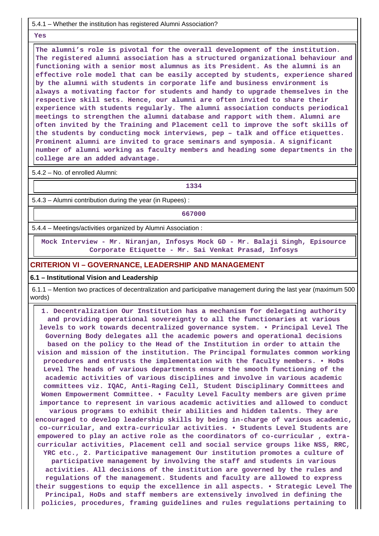5.4.1 – Whether the institution has registered Alumni Association?

 **Yes**

 **The alumni's role is pivotal for the overall development of the institution. The registered alumni association has a structured organizational behaviour and functioning with a senior most alumnus as its President. As the alumni is an effective role model that can be easily accepted by students, experience shared by the alumni with students in corporate life and business environment is always a motivating factor for students and handy to upgrade themselves in the respective skill sets. Hence, our alumni are often invited to share their experience with students regularly. The alumni association conducts periodical meetings to strengthen the alumni database and rapport with them. Alumni are often invited by the Training and Placement cell to improve the soft skills of the students by conducting mock interviews, pep – talk and office etiquettes. Prominent alumni are invited to grace seminars and symposia. A significant number of alumni working as faculty members and heading some departments in the college are an added advantage.**

5.4.2 – No. of enrolled Alumni:

**1334**

5.4.3 – Alumni contribution during the year (in Rupees) :

**667000**

5.4.4 – Meetings/activities organized by Alumni Association :

 **Mock Interview - Mr. Niranjan, Infosys Mock GD - Mr. Balaji Singh, Episource Corporate Etiquette - Mr. Sai Venkat Prasad, Infosys**

**CRITERION VI – GOVERNANCE, LEADERSHIP AND MANAGEMENT**

#### **6.1 – Institutional Vision and Leadership**

 6.1.1 – Mention two practices of decentralization and participative management during the last year (maximum 500 words)

 **1. Decentralization Our Institution has a mechanism for delegating authority and providing operational sovereignty to all the functionaries at various levels to work towards decentralized governance system. • Principal Level The Governing Body delegates all the academic powers and operational decisions based on the policy to the Head of the Institution in order to attain the vision and mission of the institution. The Principal formulates common working procedures and entrusts the implementation with the faculty members. • HoDs Level The heads of various departments ensure the smooth functioning of the academic activities of various disciplines and involve in various academic committees viz. IQAC, Anti-Raging Cell, Student Disciplinary Committees and Women Empowerment Committee. • Faculty Level Faculty members are given prime importance to represent in various academic activities and allowed to conduct various programs to exhibit their abilities and hidden talents. They are encouraged to develop leadership skills by being in-charge of various academic, co-curricular, and extra-curricular activities. • Students Level Students are empowered to play an active role as the coordinators of co-curricular , extracurricular activities, Placement cell and social service groups like NSS, RRC, YRC etc., 2. Participative management Our institution promotes a culture of participative management by involving the staff and students in various activities. All decisions of the institution are governed by the rules and regulations of the management. Students and faculty are allowed to express their suggestions to equip the excellence in all aspects. • Strategic Level The Principal, HoDs and staff members are extensively involved in defining the policies, procedures, framing guidelines and rules regulations pertaining to**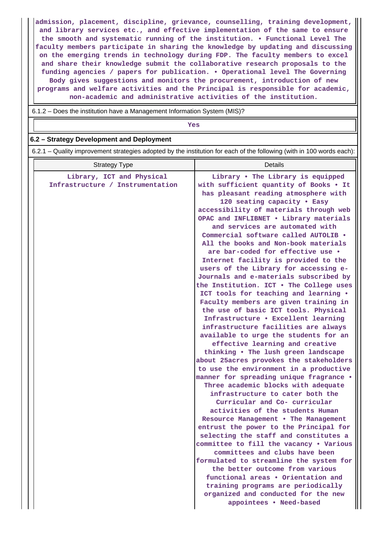**admission, placement, discipline, grievance, counselling, training development, and library services etc., and effective implementation of the same to ensure the smooth and systematic running of the institution. • Functional Level The faculty members participate in sharing the knowledge by updating and discussing on the emerging trends in technology during FDP. The faculty members to excel and share their knowledge submit the collaborative research proposals to the funding agencies / papers for publication. • Operational level The Governing Body gives suggestions and monitors the procurement, introduction of new programs and welfare activities and the Principal is responsible for academic, non-academic and administrative activities of the institution.**

6.1.2 – Does the institution have a Management Information System (MIS)?

*Yes* 

#### **6.2 – Strategy Development and Deployment**

6.2.1 – Quality improvement strategies adopted by the institution for each of the following (with in 100 words each):

| <b>Strategy Type</b>                                          | <b>Details</b>                                                                                                                                                                                                                                                                                                                                                                                                                                                                                                                                                                                                                                                                                                                                                                                                                                                                                                                                                                                                                                                                                                                                                                                                                                                                                                                                                                                                                                                                                                                                                                                                       |
|---------------------------------------------------------------|----------------------------------------------------------------------------------------------------------------------------------------------------------------------------------------------------------------------------------------------------------------------------------------------------------------------------------------------------------------------------------------------------------------------------------------------------------------------------------------------------------------------------------------------------------------------------------------------------------------------------------------------------------------------------------------------------------------------------------------------------------------------------------------------------------------------------------------------------------------------------------------------------------------------------------------------------------------------------------------------------------------------------------------------------------------------------------------------------------------------------------------------------------------------------------------------------------------------------------------------------------------------------------------------------------------------------------------------------------------------------------------------------------------------------------------------------------------------------------------------------------------------------------------------------------------------------------------------------------------------|
| Library, ICT and Physical<br>Infrastructure / Instrumentation | Library . The Library is equipped<br>with sufficient quantity of Books . It<br>has pleasant reading atmosphere with<br>120 seating capacity . Easy<br>accessibility of materials through web<br>OPAC and INFLIBNET . Library materials<br>and services are automated with<br>Commercial software called AUTOLIB .<br>All the books and Non-book materials<br>are bar-coded for effective use .<br>Internet facility is provided to the<br>users of the Library for accessing e-<br>Journals and e-materials subscribed by<br>the Institution. ICT . The College uses<br>ICT tools for teaching and learning .<br>Faculty members are given training in<br>the use of basic ICT tools. Physical<br>Infrastructure . Excellent learning<br>infrastructure facilities are always<br>available to urge the students for an<br>effective learning and creative<br>thinking . The lush green landscape<br>about 25acres provokes the stakeholders<br>to use the environment in a productive<br>manner for spreading unique fragrance .<br>Three academic blocks with adequate<br>infrastructure to cater both the<br>Curricular and Co- curricular<br>activities of the students Human<br>Resource Management . The Management<br>entrust the power to the Principal for<br>selecting the staff and constitutes a<br>committee to fill the vacancy . Various<br>committees and clubs have been<br>formulated to streamline the system for<br>the better outcome from various<br>functional areas . Orientation and<br>training programs are periodically<br>organized and conducted for the new<br>appointees . Need-based |
|                                                               |                                                                                                                                                                                                                                                                                                                                                                                                                                                                                                                                                                                                                                                                                                                                                                                                                                                                                                                                                                                                                                                                                                                                                                                                                                                                                                                                                                                                                                                                                                                                                                                                                      |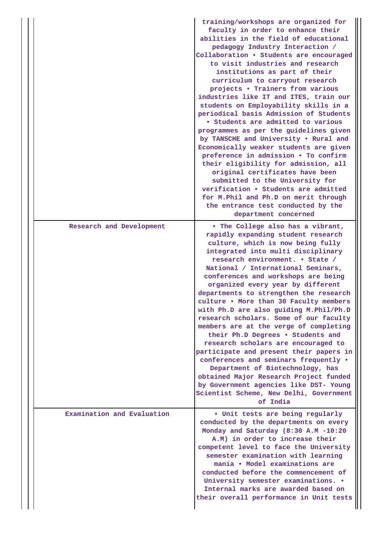|  |                            | training/workshops are organized for<br>faculty in order to enhance their<br>abilities in the field of educational<br>pedagogy Industry Interaction /<br>Collaboration . Students are encouraged<br>to visit industries and research<br>institutions as part of their<br>curriculum to carryout research<br>projects . Trainers from various<br>industries like IT and ITES, train our<br>students on Employability skills in a<br>periodical basis Admission of Students<br>• Students are admitted to various<br>programmes as per the guidelines given<br>by TANSCHE and University . Rural and<br>Economically weaker students are given<br>preference in admission . To confirm<br>their eligibility for admission, all<br>original certificates have been<br>submitted to the University for<br>verification . Students are admitted<br>for M. Phil and Ph.D on merit through<br>the entrance test conducted by the<br>department concerned |
|--|----------------------------|---------------------------------------------------------------------------------------------------------------------------------------------------------------------------------------------------------------------------------------------------------------------------------------------------------------------------------------------------------------------------------------------------------------------------------------------------------------------------------------------------------------------------------------------------------------------------------------------------------------------------------------------------------------------------------------------------------------------------------------------------------------------------------------------------------------------------------------------------------------------------------------------------------------------------------------------------|
|  | Research and Development   | . The College also has a vibrant,<br>rapidly expanding student research<br>culture, which is now being fully<br>integrated into multi disciplinary<br>research environment. • State /<br>National / International Seminars,<br>conferences and workshops are being<br>organized every year by different<br>departments to strengthen the research<br>culture . More than 30 Faculty members<br>with Ph.D are also guiding M. Phil/Ph.D<br>research scholars. Some of our faculty<br>members are at the verge of completing<br>their Ph.D Degrees . Students and<br>research scholars are encouraged to<br>participate and present their papers in<br>conferences and seminars frequently .<br>Department of Biotechnology, has<br>obtained Major Research Project funded<br>by Government agencies like DST- Young<br>Scientist Scheme, New Delhi, Government<br>of India                                                                         |
|  | Examination and Evaluation | . Unit tests are being regularly<br>conducted by the departments on every<br>Monday and Saturday (8:30 A.M -10:20<br>A.M) in order to increase their<br>competent level to face the University<br>semester examination with learning<br>mania • Model examinations are<br>conducted before the commencement of<br>University semester examinations. .<br>Internal marks are awarded based on<br>their overall performance in Unit tests                                                                                                                                                                                                                                                                                                                                                                                                                                                                                                           |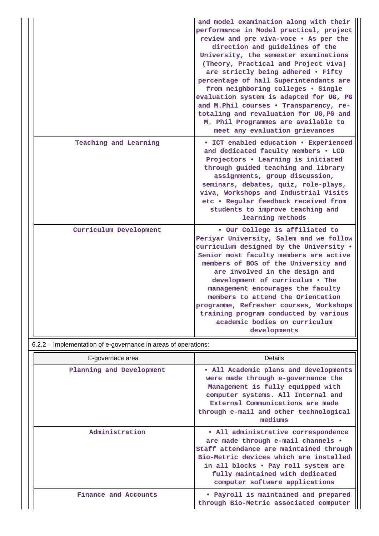|                                                                | and model examination along with their<br>performance in Model practical, project<br>review and pre viva-voce . As per the<br>direction and guidelines of the<br>University, the semester examinations<br>(Theory, Practical and Project viva)<br>are strictly being adhered . Fifty<br>percentage of hall Superintendants are<br>from neighboring colleges . Single<br>evaluation system is adapted for UG, PG<br>and M.Phil courses . Transparency, re-<br>totaling and revaluation for UG, PG and<br>M. Phil Programmes are available to<br>meet any evaluation grievances |
|----------------------------------------------------------------|-------------------------------------------------------------------------------------------------------------------------------------------------------------------------------------------------------------------------------------------------------------------------------------------------------------------------------------------------------------------------------------------------------------------------------------------------------------------------------------------------------------------------------------------------------------------------------|
| Teaching and Learning                                          | • ICT enabled education • Experienced<br>and dedicated faculty members . LCD<br>Projectors . Learning is initiated<br>through guided teaching and library<br>assignments, group discussion,<br>seminars, debates, quiz, role-plays,<br>viva, Workshops and Industrial Visits<br>etc . Regular feedback received from<br>students to improve teaching and<br>learning methods                                                                                                                                                                                                  |
| Curriculum Development                                         | . Our College is affiliated to<br>Periyar University, Salem and we follow<br>curriculum designed by the University .<br>Senior most faculty members are active<br>members of BOS of the University and<br>are involved in the design and<br>development of curriculum . The<br>management encourages the faculty<br>members to attend the Orientation<br>programme, Refresher courses, Workshops<br>training program conducted by various<br>academic bodies on curriculum<br>developments                                                                                    |
| 6.2.2 - Implementation of e-governance in areas of operations: |                                                                                                                                                                                                                                                                                                                                                                                                                                                                                                                                                                               |
| E-governace area                                               | <b>Details</b>                                                                                                                                                                                                                                                                                                                                                                                                                                                                                                                                                                |

|  | E-governace area         | Details                                                                                                                                                                                                                                                                    |
|--|--------------------------|----------------------------------------------------------------------------------------------------------------------------------------------------------------------------------------------------------------------------------------------------------------------------|
|  | Planning and Development | • All Academic plans and developments<br>were made through e-governance the<br>Management is fully equipped with<br>computer systems. All Internal and<br>External Communications are made<br>through e-mail and other technological<br>mediums                            |
|  | Administration           | • All administrative correspondence<br>are made through e-mail channels .<br>Staff attendance are maintained through<br>Bio-Metric devices which are installed<br>in all blocks • Pay roll system are<br>fully maintained with dedicated<br>computer software applications |
|  | Finance and Accounts     | • Payroll is maintained and prepared<br>through Bio-Metric associated computer                                                                                                                                                                                             |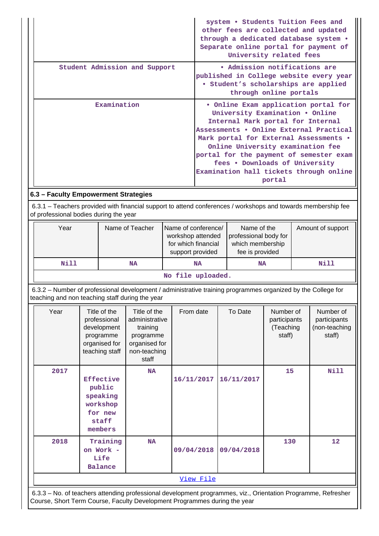| • Admission notifications are<br>Student Admission and Support<br>published in College website every year<br>· Student's scholarships are applied<br>through online portals<br>Examination<br>. Online Exam application portal for<br>University Examination . Online<br>Internal Mark portal for Internal<br>Assessments . Online External Practical<br>Mark portal for External Assessments .<br>Online University examination fee<br>portal for the payment of semester exam<br>fees . Downloads of University<br>Examination hall tickets through online<br>portal<br>6.3 - Faculty Empowerment Strategies<br>6.3.1 – Teachers provided with financial support to attend conferences / workshops and towards membership fee<br>of professional bodies during the year<br>Year<br>Name of Teacher<br>Name of conference/<br>Name of the<br>Amount of support<br>workshop attended<br>professional body for<br>for which financial<br>which membership<br>fee is provided<br>support provided<br><b>Nill</b><br><b>Nill</b><br><b>NA</b><br><b>NA</b><br><b>NA</b><br>No file uploaded.<br>6.3.2 - Number of professional development / administrative training programmes organized by the College for<br>teaching and non teaching staff during the year<br>Title of the<br>From date<br>To Date<br>Number of<br>Year<br>Title of the<br>Number of<br>professional<br>administrative<br>participants<br>participants<br>development<br>(Teaching<br>(non-teaching<br>training<br>staff)<br>programme<br>programme<br>staff)<br>organised for<br>organised for<br>teaching staff<br>non-teaching<br>staff<br><b>Nill</b><br>2017<br>15<br><b>NA</b><br>Effective<br>16/11/2017<br>16/11/2017<br>public<br>speaking<br>workshop<br>for new<br>staff<br>members<br>2018<br><b>NA</b><br>130<br>12<br>Training<br>on Work -<br>09/04/2018<br>09/04/2018<br>Life<br><b>Balance</b><br>View File |  |  |  |  |  | system . Students Tuition Fees and<br>University related fees |  |  | other fees are collected and updated<br>through a dedicated database system .<br>Separate online portal for payment of |
|------------------------------------------------------------------------------------------------------------------------------------------------------------------------------------------------------------------------------------------------------------------------------------------------------------------------------------------------------------------------------------------------------------------------------------------------------------------------------------------------------------------------------------------------------------------------------------------------------------------------------------------------------------------------------------------------------------------------------------------------------------------------------------------------------------------------------------------------------------------------------------------------------------------------------------------------------------------------------------------------------------------------------------------------------------------------------------------------------------------------------------------------------------------------------------------------------------------------------------------------------------------------------------------------------------------------------------------------------------------------------------------------------------------------------------------------------------------------------------------------------------------------------------------------------------------------------------------------------------------------------------------------------------------------------------------------------------------------------------------------------------------------------------------------------------------------------------------------------------------------------------------------|--|--|--|--|--|---------------------------------------------------------------|--|--|------------------------------------------------------------------------------------------------------------------------|
|                                                                                                                                                                                                                                                                                                                                                                                                                                                                                                                                                                                                                                                                                                                                                                                                                                                                                                                                                                                                                                                                                                                                                                                                                                                                                                                                                                                                                                                                                                                                                                                                                                                                                                                                                                                                                                                                                                |  |  |  |  |  |                                                               |  |  |                                                                                                                        |
|                                                                                                                                                                                                                                                                                                                                                                                                                                                                                                                                                                                                                                                                                                                                                                                                                                                                                                                                                                                                                                                                                                                                                                                                                                                                                                                                                                                                                                                                                                                                                                                                                                                                                                                                                                                                                                                                                                |  |  |  |  |  |                                                               |  |  |                                                                                                                        |
|                                                                                                                                                                                                                                                                                                                                                                                                                                                                                                                                                                                                                                                                                                                                                                                                                                                                                                                                                                                                                                                                                                                                                                                                                                                                                                                                                                                                                                                                                                                                                                                                                                                                                                                                                                                                                                                                                                |  |  |  |  |  |                                                               |  |  |                                                                                                                        |
|                                                                                                                                                                                                                                                                                                                                                                                                                                                                                                                                                                                                                                                                                                                                                                                                                                                                                                                                                                                                                                                                                                                                                                                                                                                                                                                                                                                                                                                                                                                                                                                                                                                                                                                                                                                                                                                                                                |  |  |  |  |  |                                                               |  |  |                                                                                                                        |
|                                                                                                                                                                                                                                                                                                                                                                                                                                                                                                                                                                                                                                                                                                                                                                                                                                                                                                                                                                                                                                                                                                                                                                                                                                                                                                                                                                                                                                                                                                                                                                                                                                                                                                                                                                                                                                                                                                |  |  |  |  |  |                                                               |  |  |                                                                                                                        |
|                                                                                                                                                                                                                                                                                                                                                                                                                                                                                                                                                                                                                                                                                                                                                                                                                                                                                                                                                                                                                                                                                                                                                                                                                                                                                                                                                                                                                                                                                                                                                                                                                                                                                                                                                                                                                                                                                                |  |  |  |  |  |                                                               |  |  |                                                                                                                        |
|                                                                                                                                                                                                                                                                                                                                                                                                                                                                                                                                                                                                                                                                                                                                                                                                                                                                                                                                                                                                                                                                                                                                                                                                                                                                                                                                                                                                                                                                                                                                                                                                                                                                                                                                                                                                                                                                                                |  |  |  |  |  |                                                               |  |  |                                                                                                                        |
|                                                                                                                                                                                                                                                                                                                                                                                                                                                                                                                                                                                                                                                                                                                                                                                                                                                                                                                                                                                                                                                                                                                                                                                                                                                                                                                                                                                                                                                                                                                                                                                                                                                                                                                                                                                                                                                                                                |  |  |  |  |  |                                                               |  |  |                                                                                                                        |
|                                                                                                                                                                                                                                                                                                                                                                                                                                                                                                                                                                                                                                                                                                                                                                                                                                                                                                                                                                                                                                                                                                                                                                                                                                                                                                                                                                                                                                                                                                                                                                                                                                                                                                                                                                                                                                                                                                |  |  |  |  |  |                                                               |  |  |                                                                                                                        |
|                                                                                                                                                                                                                                                                                                                                                                                                                                                                                                                                                                                                                                                                                                                                                                                                                                                                                                                                                                                                                                                                                                                                                                                                                                                                                                                                                                                                                                                                                                                                                                                                                                                                                                                                                                                                                                                                                                |  |  |  |  |  |                                                               |  |  |                                                                                                                        |
|                                                                                                                                                                                                                                                                                                                                                                                                                                                                                                                                                                                                                                                                                                                                                                                                                                                                                                                                                                                                                                                                                                                                                                                                                                                                                                                                                                                                                                                                                                                                                                                                                                                                                                                                                                                                                                                                                                |  |  |  |  |  |                                                               |  |  |                                                                                                                        |
|                                                                                                                                                                                                                                                                                                                                                                                                                                                                                                                                                                                                                                                                                                                                                                                                                                                                                                                                                                                                                                                                                                                                                                                                                                                                                                                                                                                                                                                                                                                                                                                                                                                                                                                                                                                                                                                                                                |  |  |  |  |  |                                                               |  |  |                                                                                                                        |

 6.3.3 – No. of teachers attending professional development programmes, viz., Orientation Programme, Refresher Course, Short Term Course, Faculty Development Programmes during the year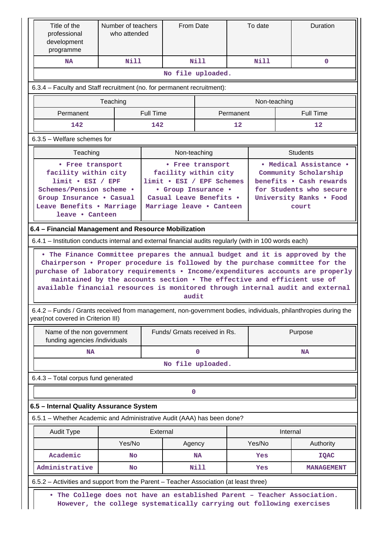| Title of the<br>professional<br>development<br>programme                                                                                                                                                                                                                                                                                                                                                                                                                                     | Number of teachers<br>who attended                                   |                  | From Date                                                                                                                       |                  |           | To date      |          | <b>Duration</b>                                                                                                                           |
|----------------------------------------------------------------------------------------------------------------------------------------------------------------------------------------------------------------------------------------------------------------------------------------------------------------------------------------------------------------------------------------------------------------------------------------------------------------------------------------------|----------------------------------------------------------------------|------------------|---------------------------------------------------------------------------------------------------------------------------------|------------------|-----------|--------------|----------|-------------------------------------------------------------------------------------------------------------------------------------------|
| <b>NA</b>                                                                                                                                                                                                                                                                                                                                                                                                                                                                                    | Nill                                                                 |                  |                                                                                                                                 | Nill             |           | Nill         |          | $\mathbf{0}$                                                                                                                              |
|                                                                                                                                                                                                                                                                                                                                                                                                                                                                                              |                                                                      |                  | No file uploaded.                                                                                                               |                  |           |              |          |                                                                                                                                           |
| 6.3.4 – Faculty and Staff recruitment (no. for permanent recruitment):                                                                                                                                                                                                                                                                                                                                                                                                                       |                                                                      |                  |                                                                                                                                 |                  |           |              |          |                                                                                                                                           |
|                                                                                                                                                                                                                                                                                                                                                                                                                                                                                              | Teaching                                                             |                  |                                                                                                                                 |                  |           | Non-teaching |          |                                                                                                                                           |
| Permanent                                                                                                                                                                                                                                                                                                                                                                                                                                                                                    |                                                                      | <b>Full Time</b> |                                                                                                                                 |                  | Permanent |              |          | <b>Full Time</b>                                                                                                                          |
| 142                                                                                                                                                                                                                                                                                                                                                                                                                                                                                          |                                                                      | 142              |                                                                                                                                 |                  | 12        |              |          | $12 \overline{ }$                                                                                                                         |
| $6.3.5$ – Welfare schemes for                                                                                                                                                                                                                                                                                                                                                                                                                                                                |                                                                      |                  |                                                                                                                                 |                  |           |              |          |                                                                                                                                           |
| Teaching                                                                                                                                                                                                                                                                                                                                                                                                                                                                                     |                                                                      |                  | Non-teaching                                                                                                                    |                  |           |              |          | <b>Students</b>                                                                                                                           |
| • Free transport<br>facility within city<br>$limit \cdot EST / EPF$<br>Schemes/Pension scheme .<br>Group Insurance . Casual<br>Leave Benefits . Marriage<br>leave • Canteen                                                                                                                                                                                                                                                                                                                  |                                                                      |                  | facility within city<br>limit . ESI / EPF Schemes<br>• Group Insurance •<br>Casual Leave Benefits .<br>Marriage leave . Canteen | • Free transport |           |              |          | • Medical Assistance •<br>Community Scholarship<br>benefits . Cash rewards<br>for Students who secure<br>University Ranks . Food<br>court |
| 6.4 - Financial Management and Resource Mobilization<br>6.4.1 - Institution conducts internal and external financial audits regularly (with in 100 words each)<br>. The Finance Committee prepares the annual budget and it is approved by the<br>Chairperson . Proper procedure is followed by the purchase committee for the<br>purchase of laboratory requirements . Income/expenditures accounts are properly<br>maintained by the accounts section . The effective and efficient use of |                                                                      |                  |                                                                                                                                 |                  |           |              |          |                                                                                                                                           |
| available financial resources is monitored through internal audit and external<br>6.4.2 – Funds / Grants received from management, non-government bodies, individuals, philanthropies during the                                                                                                                                                                                                                                                                                             |                                                                      |                  | audit                                                                                                                           |                  |           |              |          |                                                                                                                                           |
| year(not covered in Criterion III)                                                                                                                                                                                                                                                                                                                                                                                                                                                           |                                                                      |                  |                                                                                                                                 |                  |           |              |          |                                                                                                                                           |
| Name of the non government<br>funding agencies /individuals                                                                                                                                                                                                                                                                                                                                                                                                                                  |                                                                      |                  | Funds/ Grnats received in Rs.                                                                                                   |                  |           |              |          | Purpose                                                                                                                                   |
| <b>NA</b>                                                                                                                                                                                                                                                                                                                                                                                                                                                                                    |                                                                      |                  |                                                                                                                                 | $\mathbf 0$      |           |              |          | <b>NA</b>                                                                                                                                 |
|                                                                                                                                                                                                                                                                                                                                                                                                                                                                                              |                                                                      |                  | No file uploaded.                                                                                                               |                  |           |              |          |                                                                                                                                           |
| 6.4.3 - Total corpus fund generated                                                                                                                                                                                                                                                                                                                                                                                                                                                          |                                                                      |                  |                                                                                                                                 |                  |           |              |          |                                                                                                                                           |
|                                                                                                                                                                                                                                                                                                                                                                                                                                                                                              |                                                                      |                  | 0                                                                                                                               |                  |           |              |          |                                                                                                                                           |
| 6.5 - Internal Quality Assurance System                                                                                                                                                                                                                                                                                                                                                                                                                                                      |                                                                      |                  |                                                                                                                                 |                  |           |              |          |                                                                                                                                           |
| 6.5.1 – Whether Academic and Administrative Audit (AAA) has been done?                                                                                                                                                                                                                                                                                                                                                                                                                       |                                                                      |                  |                                                                                                                                 |                  |           |              |          |                                                                                                                                           |
| <b>Audit Type</b>                                                                                                                                                                                                                                                                                                                                                                                                                                                                            |                                                                      | External         |                                                                                                                                 |                  |           |              | Internal |                                                                                                                                           |
|                                                                                                                                                                                                                                                                                                                                                                                                                                                                                              | Yes/No                                                               |                  | Agency                                                                                                                          |                  |           | Yes/No       |          | Authority                                                                                                                                 |
| Academic                                                                                                                                                                                                                                                                                                                                                                                                                                                                                     | No                                                                   |                  |                                                                                                                                 | <b>NA</b>        |           | Yes          |          | <b>IQAC</b>                                                                                                                               |
| Administrative                                                                                                                                                                                                                                                                                                                                                                                                                                                                               | <b>No</b>                                                            |                  |                                                                                                                                 | Nill             |           | Yes          |          | <b>MANAGEMENT</b>                                                                                                                         |
| 6.5.2 - Activities and support from the Parent - Teacher Association (at least three)                                                                                                                                                                                                                                                                                                                                                                                                        |                                                                      |                  |                                                                                                                                 |                  |           |              |          |                                                                                                                                           |
| The College does not have an established Parent - Teacher Association.<br>$\bullet$                                                                                                                                                                                                                                                                                                                                                                                                          | However, the college systematically carrying out following exercises |                  |                                                                                                                                 |                  |           |              |          |                                                                                                                                           |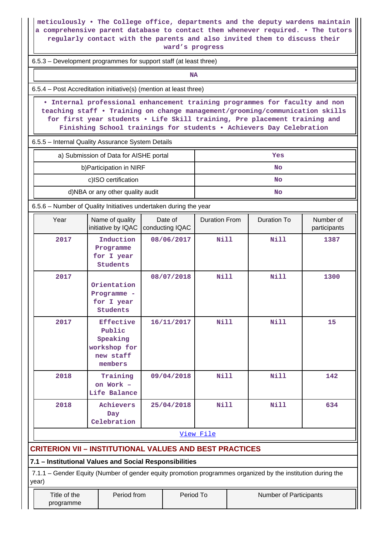|                                                        | meticulously . The College office, departments and the deputy wardens maintain<br>a comprehensive parent database to contact them whenever required. . The tutors<br>regularly contact with the parents and also invited them to discuss their                                                                  | ward's progress            |                      |                        |                           |
|--------------------------------------------------------|-----------------------------------------------------------------------------------------------------------------------------------------------------------------------------------------------------------------------------------------------------------------------------------------------------------------|----------------------------|----------------------|------------------------|---------------------------|
|                                                        | 6.5.3 – Development programmes for support staff (at least three)                                                                                                                                                                                                                                               |                            |                      |                        |                           |
|                                                        |                                                                                                                                                                                                                                                                                                                 | <b>NA</b>                  |                      |                        |                           |
|                                                        | 6.5.4 – Post Accreditation initiative(s) (mention at least three)                                                                                                                                                                                                                                               |                            |                      |                        |                           |
|                                                        | . Internal professional enhancement training programmes for faculty and non<br>teaching staff . Training on change management/grooming/communication skills<br>for first year students . Life Skill training, Pre placement training and<br>Finishing School trainings for students . Achievers Day Celebration |                            |                      |                        |                           |
|                                                        | 6.5.5 - Internal Quality Assurance System Details                                                                                                                                                                                                                                                               |                            |                      |                        |                           |
|                                                        | a) Submission of Data for AISHE portal                                                                                                                                                                                                                                                                          |                            |                      | Yes                    |                           |
|                                                        | b) Participation in NIRF                                                                                                                                                                                                                                                                                        |                            |                      | <b>No</b>              |                           |
|                                                        | c)ISO certification                                                                                                                                                                                                                                                                                             |                            |                      | <b>No</b>              |                           |
|                                                        | d)NBA or any other quality audit                                                                                                                                                                                                                                                                                |                            |                      | <b>No</b>              |                           |
|                                                        | 6.5.6 – Number of Quality Initiatives undertaken during the year                                                                                                                                                                                                                                                |                            |                      |                        |                           |
| Year                                                   | Name of quality<br>initiative by IQAC                                                                                                                                                                                                                                                                           | Date of<br>conducting IQAC | <b>Duration From</b> | <b>Duration To</b>     | Number of<br>participants |
| 2017                                                   | Induction<br>Programme<br>for I year<br>Students                                                                                                                                                                                                                                                                | 08/06/2017                 | <b>Nill</b>          | <b>Nill</b>            | 1387                      |
| 2017                                                   | Orientation<br>Programme -<br>for I year<br>Students                                                                                                                                                                                                                                                            | 08/07/2018                 | <b>Nill</b>          | <b>Nill</b>            | 1300                      |
| 2017                                                   | <b>Effective</b><br>Public<br>Speaking<br>workshop for<br>new staff<br>members                                                                                                                                                                                                                                  | 16/11/2017                 | <b>Nill</b>          | <b>Nill</b>            | 15                        |
| 2018                                                   | Training<br>on Work -<br>Life Balance                                                                                                                                                                                                                                                                           | 09/04/2018                 | <b>Nill</b>          | Nill                   | 142                       |
| 2018                                                   | Achievers<br>Day<br>Celebration                                                                                                                                                                                                                                                                                 | 25/04/2018                 | <b>Nill</b>          | <b>Nill</b>            | 634                       |
|                                                        |                                                                                                                                                                                                                                                                                                                 |                            | View File            |                        |                           |
|                                                        | <b>CRITERION VII - INSTITUTIONAL VALUES AND BEST PRACTICES</b>                                                                                                                                                                                                                                                  |                            |                      |                        |                           |
| 7.1 - Institutional Values and Social Responsibilities |                                                                                                                                                                                                                                                                                                                 |                            |                      |                        |                           |
| year)                                                  | 7.1.1 – Gender Equity (Number of gender equity promotion programmes organized by the institution during the                                                                                                                                                                                                     |                            |                      |                        |                           |
| Title of the                                           | Period from                                                                                                                                                                                                                                                                                                     | Period To                  |                      | Number of Participants |                           |

programme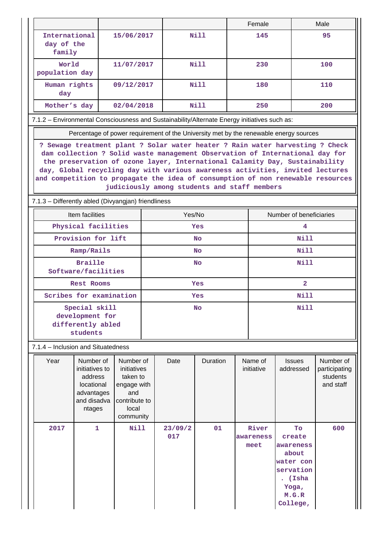|                                                                                              |                                                                                                                                                                                                                                                                                                                                                                                                                                                                  |                                                                                                   |                  |                |             |      | Female                     |                                                                                                     | Male                                                |  |
|----------------------------------------------------------------------------------------------|------------------------------------------------------------------------------------------------------------------------------------------------------------------------------------------------------------------------------------------------------------------------------------------------------------------------------------------------------------------------------------------------------------------------------------------------------------------|---------------------------------------------------------------------------------------------------|------------------|----------------|-------------|------|----------------------------|-----------------------------------------------------------------------------------------------------|-----------------------------------------------------|--|
| International<br>day of the<br>family                                                        |                                                                                                                                                                                                                                                                                                                                                                                                                                                                  | 15/06/2017                                                                                        |                  |                | Nill        |      | 145                        |                                                                                                     | 95                                                  |  |
| World<br>population day                                                                      |                                                                                                                                                                                                                                                                                                                                                                                                                                                                  | 11/07/2017                                                                                        |                  |                | Nill        |      | 230                        |                                                                                                     | 100                                                 |  |
| Human rights<br>day                                                                          |                                                                                                                                                                                                                                                                                                                                                                                                                                                                  | 09/12/2017                                                                                        |                  |                | Nill        |      | 180                        |                                                                                                     | 110                                                 |  |
| Mother's day                                                                                 |                                                                                                                                                                                                                                                                                                                                                                                                                                                                  | 02/04/2018                                                                                        |                  |                | <b>Nill</b> |      | 250                        |                                                                                                     | 200                                                 |  |
| 7.1.2 - Environmental Consciousness and Sustainability/Alternate Energy initiatives such as: |                                                                                                                                                                                                                                                                                                                                                                                                                                                                  |                                                                                                   |                  |                |             |      |                            |                                                                                                     |                                                     |  |
|                                                                                              |                                                                                                                                                                                                                                                                                                                                                                                                                                                                  |                                                                                                   |                  |                |             |      |                            | Percentage of power requirement of the University met by the renewable energy sources               |                                                     |  |
|                                                                                              | ? Sewage treatment plant ? Solar water heater ? Rain water harvesting ? Check<br>dam collection ? Solid waste management Observation of International day for<br>the preservation of ozone layer, International Calamity Day, Sustainability<br>day, Global recycling day with various awareness activities, invited lectures<br>and competition to propagate the idea of consumption of non renewable resources<br>judiciously among students and staff members |                                                                                                   |                  |                |             |      |                            |                                                                                                     |                                                     |  |
| 7.1.3 - Differently abled (Divyangjan) friendliness                                          |                                                                                                                                                                                                                                                                                                                                                                                                                                                                  |                                                                                                   |                  |                |             |      |                            |                                                                                                     |                                                     |  |
|                                                                                              | Item facilities<br>Physical facilities                                                                                                                                                                                                                                                                                                                                                                                                                           |                                                                                                   |                  | Yes/No         |             |      |                            | Number of beneficiaries<br>4                                                                        |                                                     |  |
|                                                                                              | Provision for lift                                                                                                                                                                                                                                                                                                                                                                                                                                               |                                                                                                   | Yes<br><b>No</b> |                |             | Nill |                            |                                                                                                     |                                                     |  |
|                                                                                              | Ramp/Rails                                                                                                                                                                                                                                                                                                                                                                                                                                                       |                                                                                                   | <b>No</b>        |                |             | Nill |                            |                                                                                                     |                                                     |  |
|                                                                                              | <b>Braille</b><br>Software/facilities                                                                                                                                                                                                                                                                                                                                                                                                                            |                                                                                                   | No               |                |             | Nill |                            |                                                                                                     |                                                     |  |
|                                                                                              | <b>Rest Rooms</b>                                                                                                                                                                                                                                                                                                                                                                                                                                                |                                                                                                   | <b>Yes</b>       |                |             |      |                            | $\mathbf{2}$                                                                                        |                                                     |  |
|                                                                                              | Scribes for examination                                                                                                                                                                                                                                                                                                                                                                                                                                          |                                                                                                   | Yes              |                |             | Nill |                            |                                                                                                     |                                                     |  |
|                                                                                              | Special skill<br>development for<br>differently abled<br>students                                                                                                                                                                                                                                                                                                                                                                                                |                                                                                                   | <b>No</b>        |                |             | Nill |                            |                                                                                                     |                                                     |  |
| 7.1.4 - Inclusion and Situatedness                                                           |                                                                                                                                                                                                                                                                                                                                                                                                                                                                  |                                                                                                   |                  |                |             |      |                            |                                                                                                     |                                                     |  |
| Year                                                                                         | Number of<br>initiatives to<br>address<br>locational<br>advantages<br>and disadva<br>ntages                                                                                                                                                                                                                                                                                                                                                                      | Number of<br>initiatives<br>taken to<br>engage with<br>and<br>contribute to<br>local<br>community |                  | Date           | Duration    |      | Name of<br>initiative      | <b>Issues</b><br>addressed                                                                          | Number of<br>participating<br>students<br>and staff |  |
| 2017                                                                                         | $\mathbf{1}$                                                                                                                                                                                                                                                                                                                                                                                                                                                     | <b>Nill</b>                                                                                       |                  | 23/09/2<br>017 | 01          |      | River<br>awareness<br>meet | To<br>create<br>awareness<br>about<br>water con<br>servation<br>(Isha<br>Yoga,<br>M.G.R<br>College, | 600                                                 |  |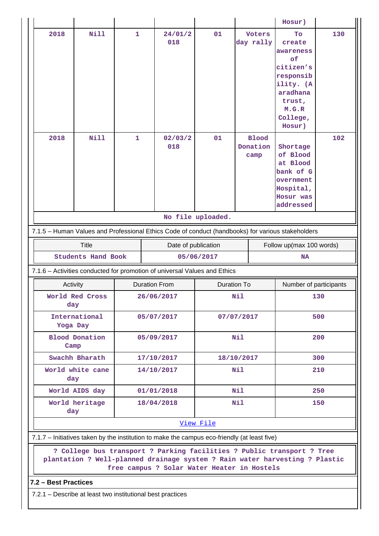|                      |                             |                   |                                                                                                                                                                                                      |                   |                                            | Hosur)                                                                                                                      |            |
|----------------------|-----------------------------|-------------------|------------------------------------------------------------------------------------------------------------------------------------------------------------------------------------------------------|-------------------|--------------------------------------------|-----------------------------------------------------------------------------------------------------------------------------|------------|
| 2018<br>2018         | <b>Nill</b><br><b>Nill</b>  | 1<br>$\mathbf{1}$ | 24/01/2<br>018<br>02/03/2                                                                                                                                                                            | 01<br>01          | <b>Voters</b><br>day rally<br><b>Blood</b> | Tо<br>create<br>awareness<br>of<br>citizen's<br>responsib<br>ility. (A<br>aradhana<br>trust,<br>M.G.R<br>College,<br>Hosur) | 130<br>102 |
|                      |                             |                   | 018                                                                                                                                                                                                  |                   | Donation<br>camp                           | Shortage<br>of Blood<br>at Blood<br>bank of G<br>overnment<br>Hospital,<br>Hosur was<br>addressed                           |            |
|                      |                             |                   |                                                                                                                                                                                                      | No file uploaded. |                                            |                                                                                                                             |            |
|                      |                             |                   | 7.1.5 - Human Values and Professional Ethics Code of conduct (handbooks) for various stakeholders                                                                                                    |                   |                                            |                                                                                                                             |            |
|                      | <b>Title</b>                |                   | Date of publication                                                                                                                                                                                  |                   |                                            | Follow up(max 100 words)                                                                                                    |            |
|                      | <b>Students Hand Book</b>   |                   |                                                                                                                                                                                                      | 05/06/2017        |                                            | <b>NA</b>                                                                                                                   |            |
|                      |                             |                   | 7.1.6 - Activities conducted for promotion of universal Values and Ethics                                                                                                                            |                   |                                            |                                                                                                                             |            |
|                      |                             |                   | <b>Duration From</b>                                                                                                                                                                                 |                   | <b>Duration To</b>                         | Number of participants                                                                                                      |            |
|                      | Activity<br>World Red Cross |                   | 26/06/2017                                                                                                                                                                                           |                   | Nil                                        |                                                                                                                             | 130        |
|                      | day                         |                   |                                                                                                                                                                                                      |                   |                                            |                                                                                                                             |            |
| Yoga Day             | International               |                   | 05/07/2017                                                                                                                                                                                           |                   | 07/07/2017                                 |                                                                                                                             | 500        |
| Camp                 | Blood Donation              |                   | 05/09/2017                                                                                                                                                                                           |                   | Nil                                        |                                                                                                                             | 200        |
|                      | Swachh Bharath              |                   | 17/10/2017                                                                                                                                                                                           |                   | 18/10/2017                                 |                                                                                                                             | 300        |
| day                  | World white cane            |                   | 14/10/2017                                                                                                                                                                                           |                   | Nil                                        |                                                                                                                             | 210        |
|                      | World AIDS day              |                   | 01/01/2018                                                                                                                                                                                           |                   | Nil                                        |                                                                                                                             | 250        |
| day                  | World heritage              |                   | 18/04/2018                                                                                                                                                                                           |                   | Nil                                        |                                                                                                                             | 150        |
|                      |                             |                   |                                                                                                                                                                                                      | View File         |                                            |                                                                                                                             |            |
|                      |                             |                   | 7.1.7 - Initiatives taken by the institution to make the campus eco-friendly (at least five)                                                                                                         |                   |                                            |                                                                                                                             |            |
|                      |                             |                   | ? College bus transport ? Parking facilities ? Public transport ? Tree<br>plantation ? Well-planned drainage system ? Rain water harvesting ? Plastic<br>free campus ? Solar Water Heater in Hostels |                   |                                            |                                                                                                                             |            |
| 7.2 - Best Practices |                             |                   |                                                                                                                                                                                                      |                   |                                            |                                                                                                                             |            |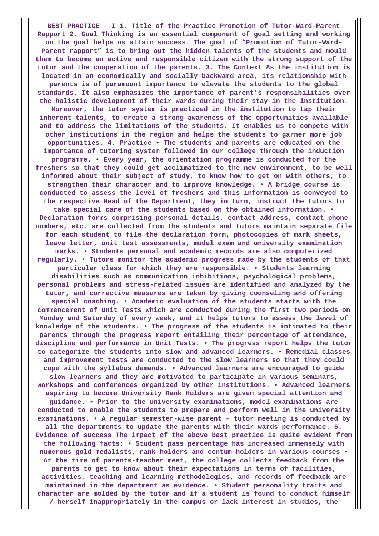**BEST PRACTICE - I 1. Title of the Practice Promotion of Tutor-Ward-Parent Rapport 2. Goal Thinking is an essential component of goal setting and working on the goal helps us attain success. The goal of "Promotion of Tutor-Ward-Parent rapport" is to bring out the hidden talents of the students and mould them to become an active and responsible citizen with the strong support of the tutor and the cooperation of the parents. 3. The Context As the institution is located in an economically and socially backward area, its relationship with parents is of paramount importance to elevate the students to the global standards. It also emphasizes the importance of parent's responsibilities over the holistic development of their wards during their stay in the institution. Moreover, the tutor system is practiced in the institution to tap their inherent talents, to create a strong awareness of the opportunities available and to address the limitations of the students. It enables us to compete with other institutions in the region and helps the students to garner more job opportunities. 4. Practice • The students and parents are educated on the importance of tutoring system followed in our college through the induction programme. • Every year, the orientation programme is conducted for the freshers so that they could get acclimatized to the new environment, to be well informed about their subject of study, to know how to get on with others, to strengthen their character and to improve knowledge. • A bridge course is conducted to assess the level of freshers and this information is conveyed to the respective Head of the Department, they in turn, instruct the tutors to take special care of the students based on the obtained information. • Declaration forms comprising personal details, contact address, contact phone numbers, etc. are collected from the students and tutors maintain separate file for each student to file the declaration form, photocopies of mark sheets, leave letter, unit test assessments, model exam and university examination marks. • Students personal and academic records are also computerized regularly. • Tutors monitor the academic progress made by the students of that particular class for which they are responsible. • Students learning disabilities such as communication inhibitions, psychological problems, personal problems and stress-related issues are identified and analyzed by the tutor, and corrective measures are taken by giving counseling and offering special coaching. • Academic evaluation of the students starts with the commencement of Unit Tests which are conducted during the first two periods on Monday and Saturday of every week, and it helps tutors to assess the level of knowledge of the students. • The progress of the students is intimated to their parents through the progress report entailing their percentage of attendance, discipline and performance in Unit Tests. • The progress report helps the tutor to categorize the students into slow and advanced learners. • Remedial classes and improvement tests are conducted to the slow learners so that they could cope with the syllabus demands. • Advanced learners are encouraged to guide slow learners and they are motivated to participate in various seminars, workshops and conferences organized by other institutions. • Advanced learners aspiring to become University Rank Holders are given special attention and guidance. • Prior to the university examinations, model examinations are conducted to enable the students to prepare and perform well in the university examinations. • A regular semester-wise parent – tutor meeting is conducted by all the departments to update the parents with their wards performance. 5. Evidence of success The impact of the above best practice is quite evident from the following facts: • Student pass percentage has increased immensely with numerous gold medalists, rank holders and centum holders in various courses • At the time of parents-teacher meet, the college collects feedback from the parents to get to know about their expectations in terms of facilities, activities, teaching and learning methodologies, and records of feedback are maintained in the department as evidence. • Student personality traits and character are molded by the tutor and if a student is found to conduct himself / herself inappropriately in the campus or lack interest in studies, the**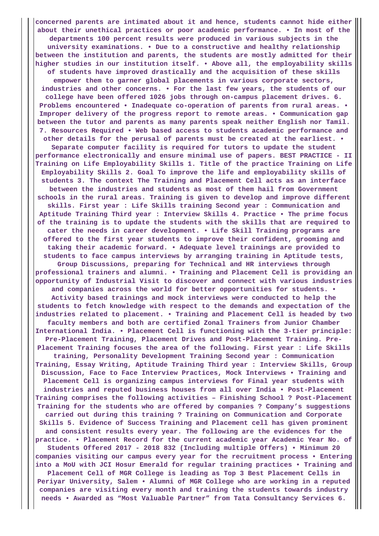**concerned parents are intimated about it and hence, students cannot hide either about their unethical practices or poor academic performance. • In most of the departments 100 percent results were produced in various subjects in the university examinations. • Due to a constructive and healthy relationship between the institution and parents, the students are mostly admitted for their higher studies in our institution itself. • Above all, the employability skills of students have improved drastically and the acquisition of these skills empower them to garner global placements in various corporate sectors, industries and other concerns. • For the last few years, the students of our college have been offered 1026 jobs through on-campus placement drives. 6. Problems encountered • Inadequate co-operation of parents from rural areas. • Improper delivery of the progress report to remote areas. • Communication gap between the tutor and parents as many parents speak neither English nor Tamil. 7. Resources Required • Web based access to students academic performance and other details for the perusal of parents must be created at the earliest. • Separate computer facility is required for tutors to update the student performance electronically and ensure minimal use of papers. BEST PRACTICE - II Training on Life Employability Skills 1. Title of the practice Training on Life Employability Skills 2. Goal To improve the life and employability skills of students 3. The context The Training and Placement Cell acts as an interface between the industries and students as most of them hail from Government schools in the rural areas. Training is given to develop and improve different skills. First year : Life Skills training Second year : Communication and Aptitude Training Third year : Interview Skills 4. Practice • The prime focus of the training is to update the students with the skills that are required to cater the needs in career development. • Life Skill Training programs are offered to the first year students to improve their confident, grooming and taking their academic forward. • Adequate level trainings are provided to students to face campus interviews by arranging training in Aptitude tests, Group Discussions, preparing for Technical and HR interviews through professional trainers and alumni. • Training and Placement Cell is providing an opportunity of Industrial Visit to discover and connect with various industries and companies across the world for better opportunities for students. • Activity based trainings and mock interviews were conducted to help the students to fetch knowledge with respect to the demands and expectation of the industries related to placement. • Training and Placement Cell is headed by two faculty members and both are certified Zonal Trainers from Junior Chamber International India. • Placement Cell is functioning with the 3-tier principle: Pre-Placement Training, Placement Drives and Post-Placement Training. Pre-Placement Training focuses the area of the following. First year : Life Skills training, Personality Development Training Second year : Communication Training, Essay Writing, Aptitude Training Third year : Interview Skills, Group Discussion, Face to Face Interview Practices, Mock Interviews • Training and Placement Cell is organizing campus interviews for Final year students with industries and reputed business houses from all over India • Post-Placement Training comprises the following activities – Finishing School ? Post-Placement Training for the students who are offered by companies ? Company's suggestions carried out during this training ? Training on Communication and Corporate Skills 5. Evidence of Success Training and Placement cell has given prominent and consistent results every year. The following are the evidences for the practice. • Placement Record for the current academic year Academic Year No. of Students Offered 2017 - 2018 832 (Including multiple Offers) • Minimum 20 companies visiting our campus every year for the recruitment process • Entering into a MoU with JCI Hosur Emerald for regular training practices • Training and Placement Cell of MGR College is leading as Top 3 Best Placement Cells in Periyar University, Salem • Alumni of MGR College who are working in a reputed companies are visiting every month and training the students towards industry needs • Awarded as "Most Valuable Partner" from Tata Consultancy Services 6.**